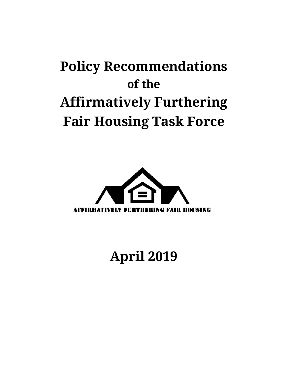# **Policy Recommendations of the Affirmatively Furthering Fair Housing Task Force**



# **April 2019**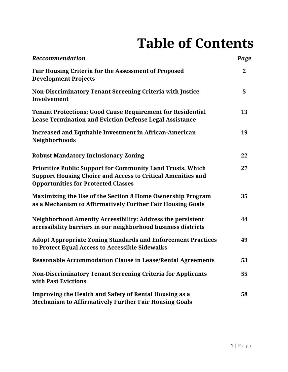# **Table of Contents**

| <b>Reccommendation</b>                                                                                                                                                                | <b>Page</b>    |
|---------------------------------------------------------------------------------------------------------------------------------------------------------------------------------------|----------------|
| <b>Fair Housing Criteria for the Assessment of Proposed</b><br><b>Development Projects</b>                                                                                            | $\overline{2}$ |
| Non-Discriminatory Tenant Screening Criteria with Justice<br>Involvement                                                                                                              | 5              |
| <b>Tenant Protections: Good Cause Requirement for Residential</b><br><b>Lease Termination and Eviction Defense Legal Assistance</b>                                                   | 13             |
| <b>Increased and Equitable Investment in African-American</b><br>Neighborhoods                                                                                                        | 19             |
| <b>Robust Mandatory Inclusionary Zoning</b>                                                                                                                                           | 22             |
| <b>Prioritize Public Support for Community Land Trusts, Which</b><br><b>Support Housing Choice and Access to Critical Amenities and</b><br><b>Opportunities for Protected Classes</b> | 27             |
| <b>Maximizing the Use of the Section 8 Home Ownership Program</b><br>as a Mechanism to Affirmatively Further Fair Housing Goals                                                       | 35             |
| Neighborhood Amenity Accessibility: Address the persistent<br>accessibility barriers in our neighborhood business districts                                                           | 44             |
| <b>Adopt Appropriate Zoning Standards and Enforcement Practices</b><br>to Protect Equal Access to Accessible Sidewalks                                                                | 49             |
| <b>Reasonable Accommodation Clause in Lease/Rental Agreements</b>                                                                                                                     | 53             |
| <b>Non-Discriminatory Tenant Screening Criteria for Applicants</b><br>with Past Evictions                                                                                             | 55             |
| <b>Improving the Health and Safety of Rental Housing as a</b><br><b>Mechanism to Affirmatively Further Fair Housing Goals</b>                                                         | 58             |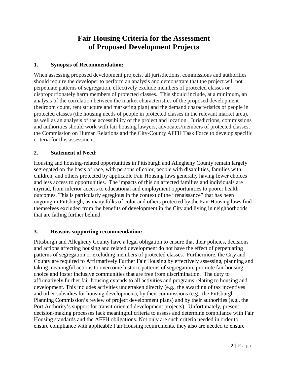# **Fair Housing Criteria for the Assessment of Proposed Development Projects**

# **1. Synopsis of Recommendation:**

When assessing proposed development projects, all jurisdictions, commissions and authorities should require the developer to perform an analysis and demonstrate that the project will not perpetuate patterns of segregation, effectively exclude members of protected classes or disproportionately harm members of protected classes. This should include, at a minimum, an analysis of the correlation between the market characteristics of the proposed development (bedroom count, rent structure and marketing plan) and the demand characteristics of people in protected classes (the housing needs of people in protected classes in the relevant market area), as well as an analysis of the accessibility of the project and location. Jurisdictions, commissions and authorities should work with fair housing lawyers, advocates/members of protected classes, the Commission on Human Relations and the City-County AFFH Task Force to develop specific criteria for this assessment.

# **2. Statement of Need:**

Housing and housing-related opportunities in Pittsburgh and Allegheny County remain largely segregated on the basis of race, with persons of color, people with disabilities, families with children, and others protected by applicable Fair Housing laws generally having fewer choices and less access to opportunities. The impacts of this on affected families and individuals are myriad, from inferior access to educational and employment opportunities to poorer health outcomes. This is particularly egregious in the context of the "renaissance" that has been ongoing in Pittsburgh, as many folks of color and others protected by the Fair Housing laws find themselves excluded from the benefits of development in the City and living in neighborhoods that are falling further behind.

#### **3. Reasons supporting recommendation:**

Pittsburgh and Allegheny County have a legal obligation to ensure that their policies, decisions and actions affecting housing and related development do not have the effect of perpetuating patterns of segregation or excluding members of protected classes. Furthermore, the City and County are required to Affirmatively Further Fair Housing by effectively assessing, planning and taking meaningful actions to overcome historic patterns of segregation, promote fair housing choice and foster inclusive communities that are free from discrimination. The duty to affirmatively further fair housing extends to all activities and programs relating to housing and development. This includes activities undertaken directly (e.g., the awarding of tax incentives and other subsidies for housing development), by their commissions (e.g., the Pittsburgh Planning Commission's review of project development plans) and by their authorities (e.g., the Port Authority's support for transit oriented development projects). Unfortunately, present decision-making processes lack meaningful criteria to assess and determine compliance with Fair Housing standards and the AFFH obligations. Not only are such criteria needed in order to ensure compliance with applicable Fair Housing requirements, they also are needed to ensure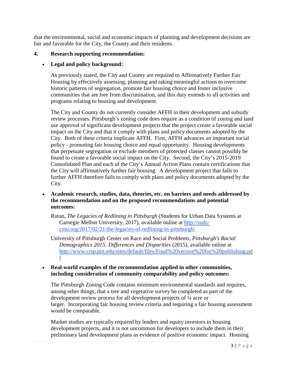that the environmental, social and economic impacts of planning and development decisions are fair and favorable for the City, the County and their residents.

#### **4. Research supporting recommendation:**

#### • **Legal and policy background:**

As previously stated, the City and County are required to Affirmatively Further Fair Housing by effectively assessing, planning and taking meaningful actions to overcome historic patterns of segregation, promote fair housing choice and foster inclusive communities that are free from discrimination, and this duty extends to all activities and programs relating to housing and development.

The City and County do not currently consider AFFH in their development and subsidy review processes. Pittsburgh's zoning code does require as a condition of zoning and land use approval of significant development projects that the project create a favorable social impact on the City and that it comply with plans and policy documents adopted by the City. Both of these criteria implicate AFFH. First, AFFH advances an important social policy - promoting fair housing choice and equal opportunity. Housing developments that perpetuate segregation or exclude members of protected classes cannot possibly be found to create a favorable social impact on the City. Second, the City's 2015-2019 Consolidated Plan and each of the City's Annual Action Plans contain certifications that the City will affirmatively further fair housing. A development project that fails to further AFFH therefore fails to comply with plans and policy documents adopted by the City.

- **Academic research, studies, data, theories, etc. on barriers and needs addressed by the recommendation and on the proposed recommendations and potential outcomes:**
	- Rutan, *The Legacies of Redlining in Pittsburgh* (Students for Urban Data Systems at Carnegie Mellon University, 2017), available online at [http://suds](http://suds-cmu.org/2017/02/21/the-legacies-of-redlining-in-pittsburgh/)[cmu.org/2017/02/21/the-legacies-of-redlining-in-pittsburgh/](http://suds-cmu.org/2017/02/21/the-legacies-of-redlining-in-pittsburgh/)
	- University of Pittsburgh Center on Race and Social Problems, *Pittsburgh's Racial Demographics 2015: Differences and Disparities* (2015), available online at [http://www.crsp.pitt.edu/sites/default/files/Final%20version%20for%20publishing.pd](http://www.crsp.pitt.edu/sites/default/files/Final%20version%20for%20publishing.pdf) [f](http://www.crsp.pitt.edu/sites/default/files/Final%20version%20for%20publishing.pdf)

#### • **Real-world examples of the recommendation applied in other communities, including consideration of community comparability and policy outcomes:**

The Pittsburgh Zoning Code contains minimum environmental standards and requires, among other things, that a tree and vegetative survey be completed as part of the development review process for all development projects of ¼ acre or larger. Incorporating fair housing review criteria and requiring a fair housing assessment would be comparable.

Market studies are typically required by lenders and equity investors in housing development projects, and it is not uncommon for developers to include them in their preliminary land development plans as evidence of positive economic impact. Housing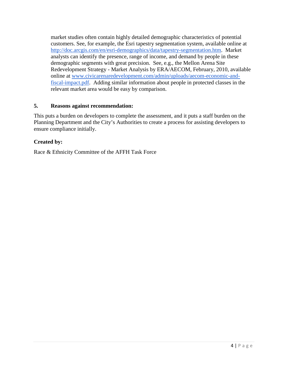market studies often contain highly detailed demographic characteristics of potential customers. See, for example, the Esri tapestry segmentation system, available online at [http://doc.arcgis.com/en/esri-demographics/data/tapestry-segmentation.htm.](http://doc.arcgis.com/en/esri-demographics/data/tapestry-segmentation.htm) Market analysts can identify the presence, range of income, and demand by people in these demographic segments with great precision. See, e.g., the Mellon Arena Site Redevelopment Strategy - Market Analysis by ERA/AECOM, February, 2010, available online at [www.civicarenaredevelopment.com/admin/uploads/aecom-economic-and](http://www.civicarenaredevelopment.com/admin/uploads/aecom-economic-and-fiscal-impact.pdf)[fiscal-impact.pdf.](http://www.civicarenaredevelopment.com/admin/uploads/aecom-economic-and-fiscal-impact.pdf) Adding similar information about people in protected classes in the relevant market area would be easy by comparison.

#### **5. Reasons against recommendation:**

This puts a burden on developers to complete the assessment, and it puts a staff burden on the Planning Department and the City's Authorities to create a process for assisting developers to ensure compliance initially.

#### **Created by:**

Race & Ethnicity Committee of the AFFH Task Force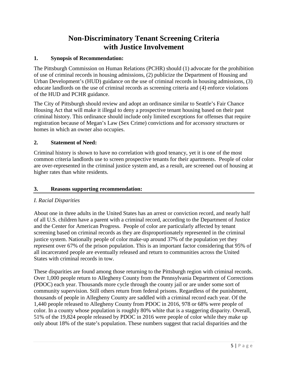# **Non-Discriminatory Tenant Screening Criteria with Justice Involvement**

### **1. Synopsis of Recommendation:**

The Pittsburgh Commission on Human Relations (PCHR) should (1) advocate for the prohibition of use of criminal records in housing admissions, (2) publicize the Department of Housing and Urban Development's (HUD) guidance on the use of criminal records in housing admissions, (3) educate landlords on the use of criminal records as screening criteria and (4) enforce violations of the HUD and PCHR guidance.

The City of Pittsburgh should review and adopt an ordinance similar to Seattle's Fair Chance Housing Act that will make it illegal to deny a prospective tenant housing based on their past criminal history. This ordinance should include only limited exceptions for offenses that require registration because of Megan's Law (Sex Crime) convictions and for accessory structures or homes in which an owner also occupies.

# **2. Statement of Need:**

Criminal history is shown to have no correlation with good tenancy, yet it is one of the most common criteria landlords use to screen prospective tenants for their apartments. People of color are over-represented in the criminal justice system and, as a result, are screened out of housing at higher rates than white residents.

### **3. Reasons supporting recommendation:**

# *I. Racial Disparities*

About one in three adults in the United States has an arrest or conviction record, and nearly half of all U.S. children have a parent with a criminal record, according to the Department of Justice and the Center for American Progress. People of color are particularly affected by tenant screening based on criminal records as they are disproportionately represented in the criminal justice system. Nationally people of color make-up around 37% of the population yet they represent over 67% of the prison population. This is an important factor considering that 95% of all incarcerated people are eventually released and return to communities across the United States with criminal records in tow.

These disparities are found among those returning to the Pittsburgh region with criminal records. Over 1,000 people return to Allegheny County from the Pennsylvania Department of Corrections (PDOC) each year. Thousands more cycle through the county jail or are under some sort of community supervision. Still others return from federal prisons. Regardless of the punishment, thousands of people in Allegheny County are saddled with a criminal record each year. Of the 1,440 people released to Allegheny County from PDOC in 2016, 978 or 68% were people of color. In a county whose population is roughly 80% white that is a staggering disparity. Overall, 51% of the 19,824 people released by PDOC in 2016 were people of color while they make up only about 18% of the state's population. These numbers suggest that racial disparities and the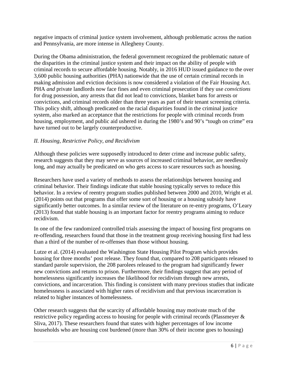negative impacts of criminal justice system involvement, although problematic across the nation and Pennsylvania, are more intense in Allegheny County.

During the Obama administration, the federal government recognized the problematic nature of the disparities in the criminal justice system and their impact on the ability of people with criminal records to secure affordable housing. Notably, in 2016 HUD issued guidance to the over 3,600 public housing authorities (PHA) nationwide that the use of certain criminal records in making admission and eviction decisions is now considered a violation of the Fair Housing Act. PHA *and* private landlords now face fines and even criminal prosecution if they use *convictions* for drug possession, any arrests that did not lead to convictions, blanket bans for arrests or convictions, and criminal records older than three years as part of their tenant screening criteria. This policy shift, although predicated on the racial disparities found in the criminal justice system, also marked an acceptance that the restrictions for people with criminal records from housing, employment, and public aid ushered in during the 1980's and 90's "tough on crime" era have turned out to be largely counterproductive.

# *II. Housing, Restrictive Policy, and Recidivism*

Although these policies were supposedly introduced to deter crime and increase public safety, research suggests that they may serve as sources of increased criminal behavior, are needlessly long, and may actually be predicated on who gets access to scare resources such as housing.

Researchers have used a variety of methods to assess the relationships between housing and criminal behavior. Their findings indicate that stable housing typically serves to reduce this behavior. In a review of reentry program studies published between 2000 and 2010, Wright et al. (2014) points out that programs that offer some sort of housing or a housing subsidy have significantly better outcomes. In a similar review of the literature on re-entry programs, O'Leary (2013) found that stable housing is an important factor for reentry programs aiming to reduce recidivism.

In one of the few randomized controlled trials assessing the impact of housing first programs on re-offending, researchers found that those in the treatment group receiving housing first had less than a third of the number of re-offenses than those without housing.

Lutze et al. (2014) evaluated the Washington State Housing Pilot Program which provides housing for three months' post release. They found that, compared to 208 participants released to standard parole supervision, the 208 parolees released to the program had significantly fewer new convictions and returns to prison. Furthermore, their findings suggest that any period of homelessness significantly increases the likelihood for recidivism through new arrests, convictions, and incarceration. This finding is consistent with many previous studies that indicate homelessness is associated with higher rates of recidivism and that previous incarceration is related to higher instances of homelessness.

Other research suggests that the scarcity of affordable housing may motivate much of the restrictive policy regarding access to housing for people with criminal records (Plassmeyer & Sliva, 2017). These researchers found that states with higher percentages of low income households who are housing cost burdened (more than 30% of their income goes to housing)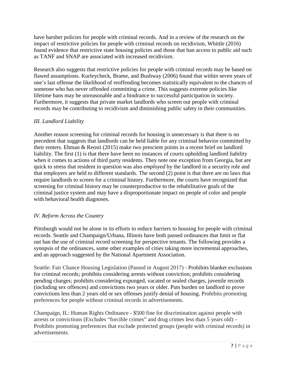have harsher policies for people with criminal records. And in a review of the research on the impact of restrictive policies for people with criminal records on recidivism, Whittle (2016) found evidence that restrictive state housing policies and those that ban access to public aid such as TANF and SNAP are associated with increased recidivism.

Research also suggests that restrictive policies for people with criminal records may be based on flawed assumptions. Kurleycheck, Brame, and Bushway (2006) found that within seven years of one's last offense the likelihood of reoffending becomes statistically equivalent to the chances of someone who has never offended committing a crime. This suggests extreme policies like lifetime bans may be unreasonable and a hindrance to successful participation in society. Furthermore, it suggests that private market landlords who screen out people with criminal records may be contributing to recidivism and diminishing public safety in their communities.

# *III. Landlord Liability*

Another reason screening for criminal records for housing is unnecessary is that there is no precedent that suggests that landlords can be held liable for any criminal behavior committed by their renters. Ehman & Reosti (2015) make two prescient points in a recent brief on landlord liability. The first (1) is that there have been no instances of courts upholding landlord liability when it comes to actions of third party residents. They note one exception from Georgia, but are quick to stress that resident in question was also *employed* by the landlord in a security role and that employers are held to different standards. The second (2) point is that there are no laws that require landlords to screen for a criminal history. Furthermore, the courts have recognized that screening for criminal history may be counterproductive to the rehabilitative goals of the criminal justice system and may have a disproportionate impact on people of color and people with behavioral health diagnoses.

# *IV. Reform Across the Country*

Pittsburgh would not be alone in its efforts to reduce barriers to housing for people with criminal records. Seattle and Champaign/Urbana, Illinois have both passed ordinances that limit or flat out ban the use of criminal record screening for perspective tenants. The following provides a synopsis of the ordinances, some other examples of cities taking more incremental approaches, and an approach suggested by the National Apartment Association.

Seattle: Fair Chance Housing Legislation (Passed in August 2017) - Prohibits blanket exclusions for criminal records; prohibits considering arrests without conviction; prohibits considering pending charges; prohibits considering expunged, vacated or sealed charges, juvenile records (including sex offences) and convictions two years or older. Puts burden on landlord to prove convictions less than 2 years old or sex offenses justify denial of housing. Prohibits promoting preferences for people without criminal records in advertisements.

Champaign, IL: Human Rights Ordinance - \$500 fine for discrimination against people with arrests or convictions (Excludes "forcible crimes" and drug crimes less than 5 years old) – Prohibits promoting preferences that exclude protected groups (people with criminal records) in advertisements.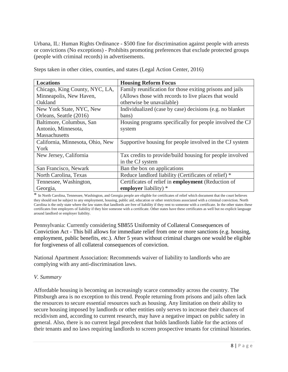Urbana, IL: Human Rights Ordinance - \$500 fine for discrimination against people with arrests or convictions (No exceptions) - Prohibits promoting preferences that exclude protected groups (people with criminal records) in advertisements.

| <b>Locations</b>                 | <b>Housing Reform Focus</b>                               |
|----------------------------------|-----------------------------------------------------------|
| Chicago, King County, NYC, LA,   | Family reunification for those exiting prisons and jails  |
| Minneapolis, New Haven,          | (Allows those with records to live places that would      |
| Oakland                          | otherwise be unavailable)                                 |
| New York State, NYC, New         | Individualized (case by case) decisions (e.g. no blanket  |
| Orleans, Seattle (2016)          | bans)                                                     |
| Baltimore, Columbus, San         | Housing programs specifically for people involved the CJ  |
| Antonio, Minnesota,              | system                                                    |
| Massachusetts                    |                                                           |
| California, Minnesota, Ohio, New | Supportive housing for people involved in the CJ system   |
| York                             |                                                           |
| New Jersey, California           | Tax credits to provide/build housing for people involved  |
|                                  | in the CJ system                                          |
| San Francisco, Newark            | Ban the box on applications                               |
| North Carolina, Texas            | Reduce landlord liability (Certificates of relief) *      |
| Tennessee, Washington,           | Certificates of relief in <b>employment</b> (Reduction of |
| Georgia,                         | employer liability) *                                     |

Steps taken in other cities, counties, and states (Legal Action Center, 2016)

\* In North Carolina, Tennessee, Washington, and Georgia people are eligible for certificates of relief which document that the court believes they should not be subject to any employment, housing, public aid, education or other restrictions associated with a criminal conviction. North Carolina is the only state where the law states that landlords are free of liability if they rent to someone with a certificate. In the other states these certificates free employers of liability if they hire someone with a certificate. Other states have these certificates as well but no explicit language around landlord or employer liability.

Pennsylvania: Currently considering SB855 Uniformity of Collateral Consequences of Conviction Act - This bill allows for immediate relief from one or more sanctions (e.g. housing, employment, public benefits, etc.). After 5 years without criminal charges one would be eligible for forgiveness of all collateral consequences of conviction.

National Apartment Association: Recommends waiver of liability to landlords who are complying with any anti-discrimination laws.

#### *V. Summary*

Affordable housing is becoming an increasingly scarce commodity across the country. The Pittsburgh area is no exception to this trend. People returning from prisons and jails often lack the resources to secure essential resources such as housing. Any limitation on their ability to secure housing imposed by landlords or other entities only serves to increase their chances of recidivism and, according to current research, may have a negative impact on public safety in general. Also, there is no current legal precedent that holds landlords liable for the actions of their tenants and no laws requiring landlords to screen prospective tenants for criminal histories.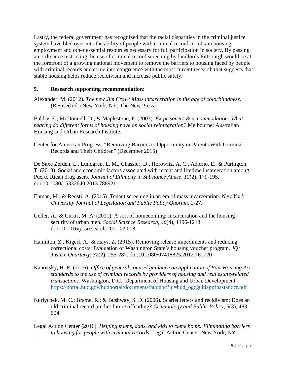Lastly, the federal government has recognized that the racial disparities in the criminal justice system have bled over into the ability of people with criminal records to obtain housing, employment and other essential resources necessary for full participation in society. By passing an ordinance restricting the use of criminal record screening by landlords Pittsburgh would be at the forefront of a growing national movement to remove the barriers to housing faced by people with criminal records and come into congruence with the most current research that suggests that stable housing helps reduce recidivism and increase public safety.

# **5. Research supporting recommendation:**

Alexander, M. (2012). *The new Jim Crow: Mass incarceration in the age of colorblindness*. (Revised ed.) New York, NY: The New Press.

Baldry, E., McDonnell, D., & Maplestone, P. (2003). *Ex-prisoners & accommodation: What bearing do different forms of housing have on social reintegration?* Melbourne: Australian Housing and Urban Research Institute.

Center for American Progress, "Removing Barriers to Opportunity or Parents With Criminal Records and Their Children" (December 2015)

De Saxe Zerden, L., Lundgren, L. M., Chassler, D., Horowitz, A. C., Adorno, E., & Purington, T. (2013). Social and economic factors associated with recent and lifetime incarceration among Puerto Rican drug users. *Journal of Ethnicity in Substance Abuse, 12*(2), 179-195. doi:10.1080/15332640.2013.788921

- Ehman, M., & Reosti, A. (2015). Tenant screening in an era of mass incarceration. *New York University Journal of Legislation and Public Policy Quorum,* 1-27.
- Geller, A., & Curtis, M. A. (2011). A sort of homecoming: Incarceration and the housing security of urban men. *Social Science Research, 40*(4), 1196-1213. doi:10.1016/j.ssresearch.2011.03.008
- Hamilton, Z., Kigerl, A., & Hays, Z. (2015). Removing release impediments and reducing correctional costs: Evaluation of Washington State's housing voucher program. *JQ: Justice Quarterly, 32*(2), 255-287. doi:10.1080/07418825.2012.761720
- Kanovsky, H. R. (2016). *Office of general counsel guidance on application of Fair Housing Act standards to the use of criminal records by providers of housing and real estate-related transactions.* Washington, D.C.: Department of Housing and Urban Development. [https://portal.hud.gov/hudportal/documents/huddoc?id=hud\\_ogcguidappfhastandcr.pdf](https://portal.hud.gov/hudportal/documents/huddoc?id=hud_ogcguidappfhastandcr.pdf)
- Kurlychek, M. C.; Brame. R.; & Bushway, S. D. (2006). Scarlet letters and recidivism: Does an old criminal record predict future offending? *Criminology and Public Policy*, 5(3), 483- 504.
- Legal Action Center (2016). *Helping moms, dads, and kids to come home: Eliminating barriers to housing for people with criminal records*. Legal Action Center: New York, NY.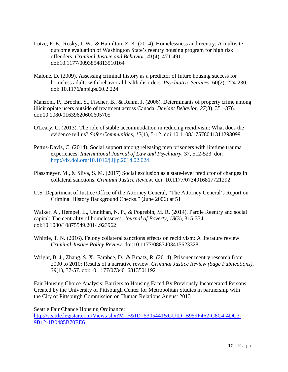- Lutze, F. E., Rosky, J. W., & Hamilton, Z. K. (2014). Homelessness and reentry: A multisite outcome evaluation of Washington State's reentry housing program for high risk offenders. *Criminal Justice and Behavior, 41*(4), 471-491. doi:10.1177/0093854813510164
- Malone, D. (2009). Assessing criminal history as a predictor of future housing success for homeless adults with behavioral health disorders. *Psychiatric Services,* 60(2), 224-230. doi: 10.1176/appi.ps.60.2.224

Manzoni, P., Brochu, S., Fischer, B., & Rehm, J. (2006). Determinants of property crime among illicit opiate users outside of treatment across Canada. *Deviant Behavior, 27*(3), 351-376. doi:10.1080/01639620600605705

- O'Leary, C. (2013). The role of stable accommodation in reducing recidivism: What does the evidence tell us? *Safer Communities, 12*(1), 5-12. doi:10.1108/17578041311293099
- Pettus-Davis, C. (2014). Social support among releasing men prisoners with lifetime trauma experiences. *International Journal of Law and Psychiatry*, 37, 512-523. doi: <http://dx.doi.org/10.1016/j.ijlp.2014.02.024>
- Plassmeyer, M., & Sliva, S. M. (2017) Social exclusion as a state-level predictor of changes in collateral sanctions. *Criminal Justice Review.* doi: 10.1177/0734016817721292
- U.S. Department of Justice Office of the Attorney General, "The Attorney General's Report on Criminal History Background Checks." (June 2006) at 51

Walker, A., Hempel, L., Unnithan, N. P., & Pogrebin, M. R. (2014). Parole Reentry and social capital: The centrality of homelessness. *Journal of Poverty, 18*(3), 315-334. doi:10.1080/10875549.2014.923962

- Whittle, T. N. (2016). Felony collateral sanctions effects on recidivism: A literature review. *Criminal Justice Policy Review*. doi:10.1177/0887403415623328
- Wright, B. J., Zhang, S. X., Farabee, D., & Braatz, R. (2014). Prisoner reentry research from 2000 to 2010: Results of a narrative review. *Criminal Justice Review (Sage Publications), 39*(1), 37-57. doi:10.1177/0734016813501192

Fair Housing Choice Analysis: Barriers to Housing Faced By Previously Incarcerated Persons Created by the University of Pittsburgh Center for Metropolitan Studies in partnership with the City of Pittsburgh Commission on Human Relations August 2013

Seattle Fair Chance Housing Ordinance: [http://seattle.legistar.com/View.ashx?M=F&ID=5305441&GUID=B959F462-C8C4-4DC3-](http://seattle.legistar.com/View.ashx?M=F&ID=5305441&GUID=B959F462-C8C4-4DC3-9B12-1B0485B70EE6) [9B12-1B0485B70EE6](http://seattle.legistar.com/View.ashx?M=F&ID=5305441&GUID=B959F462-C8C4-4DC3-9B12-1B0485B70EE6)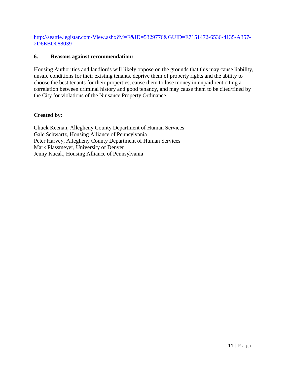#### [http://seattle.legistar.com/View.ashx?M=F&ID=5329776&GUID=E7151472-6536-4135-A357-](http://seattle.legistar.com/View.ashx?M=F&ID=5329776&GUID=E7151472-6536-4135-A357-2D6EBD088039) [2D6EBD088039](http://seattle.legistar.com/View.ashx?M=F&ID=5329776&GUID=E7151472-6536-4135-A357-2D6EBD088039)

#### **6. Reasons against recommendation:**

Housing Authorities and landlords will likely oppose on the grounds that this may cause liability, unsafe conditions for their existing tenants, deprive them of property rights and the ability to choose the best tenants for their properties, cause them to lose money in unpaid rent citing a correlation between criminal history and good tenancy, and may cause them to be cited/fined by the City for violations of the Nuisance Property Ordinance.

#### **Created by:**

Chuck Keenan, Allegheny County Department of Human Services Gale Schwartz, Housing Alliance of Pennsylvania Peter Harvey, Allegheny County Department of Human Services Mark Plassmeyer, University of Denver Jenny Kucak, Housing Alliance of Pennsylvania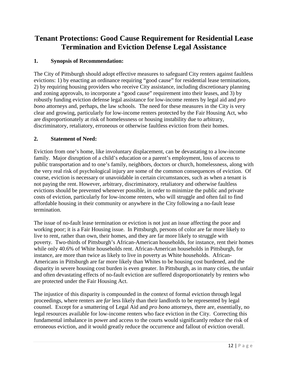# **Tenant Protections: Good Cause Requirement for Residential Lease Termination and Eviction Defense Legal Assistance**

# **1. Synopsis of Recommendation:**

The City of Pittsburgh should adopt effective measures to safeguard City renters against faultless evictions: 1) by enacting an ordinance requiring "good cause" for residential lease terminations, 2) by requiring housing providers who receive City assistance, including discretionary planning and zoning approvals, to incorporate a "good cause" requirement into their leases, and 3) by robustly funding eviction defense legal assistance for low-income renters by legal aid and *pro bono* attorneys and, perhaps, the law schools. The need for these measures in the City is very clear and growing, particularly for low-income renters protected by the Fair Housing Act, who are disproportionately at risk of homelessness or housing instability due to arbitrary, discriminatory, retaliatory, erroneous or otherwise faultless eviction from their homes.

#### **2. Statement of Need:**

Eviction from one's home, like involuntary displacement, can be devastating to a low-income family. Major disruption of a child's education or a parent's employment, loss of access to public transportation and to one's family, neighbors, doctors or church, homelessness, along with the very real risk of psychological injury are some of the common consequences of eviction. Of course, eviction is necessary or unavoidable in certain circumstances, such as when a tenant is not paying the rent. However, arbitrary, discriminatory, retaliatory and otherwise faultless evictions should be prevented whenever possible, in order to minimize the public and private costs of eviction, particularly for low-income renters, who will struggle and often fail to find affordable housing in their community or anywhere in the City following a no-fault lease termination.

The issue of no-fault lease termination or eviction is not just an issue affecting the poor and working poor; it is a Fair Housing issue. In Pittsburgh, persons of color are far more likely to live to rent, rather than own, their homes, and they are far more likely to struggle with poverty. Two-thirds of Pittsburgh's African-American households, for instance, rent their homes while only 40.6% of White households rent. African-American households in Pittsburgh, for instance, are more than twice as likely to live in poverty as White households. African-Americans in Pittsburgh are far more likely than Whites to be housing cost burdened, and the disparity in severe housing cost burden is even greater. In Pittsburgh, as in many cities, the unfair and often devastating effects of no-fault eviction are suffered disproportionately by renters who are protected under the Fair Housing Act.

The injustice of this disparity is compounded in the context of formal eviction through legal proceedings, where renters are *far* less likely than their landlords to be represented by legal counsel. Except for a smattering of Legal Aid and *pro bono* attorneys, there are, essentially, no legal resources available for low-income renters who face eviction in the City. Correcting this fundamental imbalance in power and access to the courts would significantly reduce the risk of erroneous eviction, and it would greatly reduce the occurrence and fallout of eviction overall.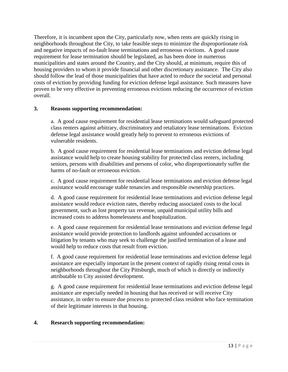Therefore, it is incumbent upon the City, particularly now, when rents are quickly rising in neighborhoods throughout the City, to take feasible steps to minimize the disproportionate risk and negative impacts of no-fault lease terminations and erroneous evictions. A good cause requirement for lease termination should be legislated, as has been done in numerous municipalities and states around the Country, and the City should, at minimum, require this of housing providers to whom it provide financial and other discretionary assistance. The City also should follow the lead of those municipalities that have acted to reduce the societal and personal costs of eviction by providing funding for eviction defense legal assistance. Such measures have proven to be very effective in preventing erroneous evictions reducing the occurrence of eviction overall.

#### **3. Reasons supporting recommendation:**

a. A good cause requirement for residential lease terminations would safeguard protected class renters against arbitrary, discriminatory and retaliatory lease terminations. Eviction defense legal assistance would greatly help to prevent to erroneous evictions of vulnerable residents.

b. A good cause requirement for residential lease terminations and eviction defense legal assistance would help to create housing stability for protected class renters, including seniors, persons with disabilities and persons of color, who disproportionately suffer the harms of no-fault or erroneous eviction.

c. A good cause requirement for residential lease terminations and eviction defense legal assistance would encourage stable tenancies and responsible ownership practices.

d. A good cause requirement for residential lease terminations and eviction defense legal assistance would reduce eviction rates, thereby reducing associated costs to the local government, such as lost property tax revenue, unpaid municipal utility bills and increased costs to address homelessness and hospitalization.

e. A good cause requirement for residential lease terminations and eviction defense legal assistance would provide protection to landlords against unfounded accusations or litigation by tenants who may seek to challenge the justified termination of a lease and would help to reduce costs that result from eviction.

f. A good cause requirement for residential lease terminations and eviction defense legal assistance are especially important in the present context of rapidly rising rental costs in neighborhoods throughout the City Pittsburgh, much of which is directly or indirectly attributable to City assisted development.

g. A good cause requirement for residential lease terminations and eviction defense legal assistance are especially needed in housing that has received or will receive City assistance, in order to ensure due process to protected class resident who face termination of their legitimate interests in that housing.

#### **4. Research supporting recommendation:**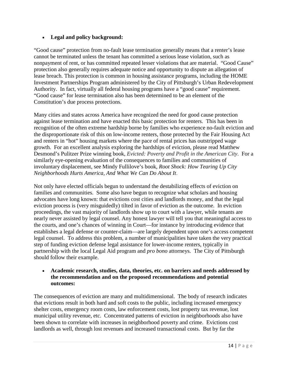### • **Legal and policy background:**

"Good cause" protection from no-fault lease termination generally means that a renter's lease cannot be terminated unless the tenant has committed a serious lease violation, such as nonpayment of rent, or has committed repeated lesser violations that are material. "Good Cause" protection also generally requires adequate notice and opportunity to dispute an allegation of lease breach. This protection is common in housing assistance programs, including the HOME Investment Partnerships Program administered by the City of Pittsburgh's Urban Redevelopment Authority. In fact, virtually all federal housing programs have a "good cause" requirement. "Good cause" for lease termination also has been determined to be an element of the Constitution's due process protections.

Many cities and states across America have recognized the need for good cause protection against lease termination and have enacted this basic protection for renters. This has been in recognition of the often extreme hardship borne by families who experience no-fault eviction and the disproportionate risk of this on low-income renters, those protected by the Fair Housing Act and renters in "hot" housing markets where the pace of rental prices has outstripped wage growth. For an excellent analysis exploring the hardships of eviction, please read Matthew Desmond's Pulitzer Prize winning book, *Evicted: Poverty and Profit in the American City*. For a similarly eye-opening evaluation of the consequences to families and communities of involuntary displacement, see Mindy Fullilove's book, *Root Shock: How Tearing Up City Neighborhoods Hurts America, And What We Can Do About It*.

Not only have elected officials begun to understand the destabilizing effects of eviction on families and communities. Some also have begun to recognize what scholars and housing advocates have long known: that evictions cost cities and landlords money, and that the legal eviction process is (very misguidedly) tilted in favor of eviction as the outcome. In eviction proceedings, the vast majority of landlords show up to court with a lawyer, while tenants are nearly never assisted by legal counsel. Any honest lawyer will tell you that meaningful access to the courts, and one's chances of winning in Court—for instance by introducing evidence that establishes a legal defense or counter-claim—are largely dependent upon one's access competent legal counsel. To address this problem, a number of municipalities have taken the very practical step of funding eviction defense legal assistance for lower-income renters, typically in partnership with the local Legal Aid program and *pro bono* attorneys. The City of Pittsburgh should follow their example.

#### • **Academic research, studies, data, theories, etc. on barriers and needs addressed by the recommendation and on the proposed recommendations and potential outcomes:**

The consequences of eviction are many and multidimensional. The body of research indicates that evictions result in both hard and soft costs to the public, including increased emergency shelter costs, emergency room costs, law enforcement costs, lost property tax revenue, lost municipal utility revenue, etc. Concentrated patterns of eviction in neighborhoods also have been shown to correlate with increases in neighborhood poverty and crime. Evictions cost landlords as well, through lost revenues and increased transactional costs. But by far the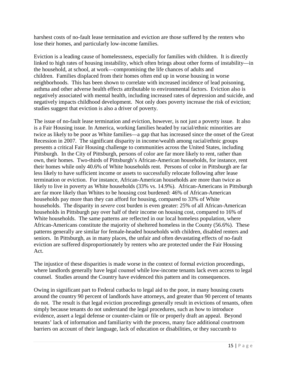harshest costs of no-fault lease termination and eviction are those suffered by the renters who lose their homes, and particularly low-income families.

Eviction is a leading cause of homelessness, especially for families with children. It is directly linked to high rates of housing instability, which often brings about other forms of instability—in the household, at school, at work—compromising the life chances of adults and children. Families displaced from their homes often end up in worse housing in worse neighborhoods. This has been shown to correlate with increased incidence of lead poisoning, asthma and other adverse health effects attributable to environmental factors. Eviction also is negatively associated with mental health, including increased rates of depression and suicide, and negatively impacts childhood development. Not only does poverty increase the risk of eviction; studies suggest that eviction is also a driver of poverty.

The issue of no-fault lease termination and eviction, however, is not just a poverty issue. It also is a Fair Housing issue. In America, working families headed by racial/ethnic minorities are twice as likely to be poor as White families—a gap that has increased since the onset of the Great Recession in 2007. The significant disparity in income/wealth among racial/ethnic groups presents a critical Fair Housing challenge to communities across the United States, including Pittsburgh. In the City of Pittsburgh, persons of color are far more likely to rent, rather than own, their homes. Two-thirds of Pittsburgh's African-American households, for instance, rent their homes while only 40.6% of White households rent. Persons of color in Pittsburgh are far less likely to have sufficient income or assets to successfully relocate following after lease termination or eviction. For instance, African-American households are more than twice as likely to live in poverty as White households (33% vs. 14.9%). African-Americans in Pittsburgh are far more likely than Whites to be housing cost burdened: 46% of African-American households pay more than they can afford for housing, compared to 33% of White households. The disparity in *severe* cost burden is even greater: 25% of all African-American households in Pittsburgh pay over half of their income on housing cost, compared to 16% of White households. The same patterns are reflected in our local homeless population, where African-Americans constitute the majority of sheltered homeless in the County (56.6%). These patterns generally are similar for female-headed households with children, disabled renters and seniors. In Pittsburgh, as in many places, the unfair and often devastating effects of no-fault eviction are suffered disproportionately by renters who are protected under the Fair Housing Act.

The injustice of these disparities is made worse in the context of formal eviction proceedings, where landlords generally have legal counsel while low-income tenants lack even access to legal counsel. Studies around the Country have evidenced this pattern and its consequences.

Owing in significant part to Federal cutbacks to legal aid to the poor, in many housing courts around the country 90 percent of landlords have attorneys, and greater than 90 percent of tenants do not. The result is that legal eviction proceedings generally result in evictions of tenants, often simply because tenants do not understand the legal procedures, such as how to introduce evidence, assert a legal defense or counter-claim or file or properly draft an appeal. Beyond tenants' lack of information and familiarity with the process, many face additional courtroom barriers on account of their language, lack of education or disabilities, or they succumb to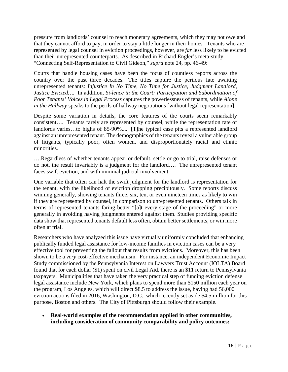pressure from landlords' counsel to reach monetary agreements, which they may not owe and that they cannot afford to pay, in order to stay a little longer in their homes. Tenants who are represented by legal counsel in eviction proceedings, however, are *far* less likely to be evicted than their unrepresented counterparts. As described in Richard Engler's meta-study, "Connecting Self-Representation to Civil Gideon," *supra* note 24, pp. 46-49:

Courts that handle housing cases have been the focus of countless reports across the country over the past three decades. The titles capture the perilous fate awaiting unrepresented tenants: *Injustice In No Time*, *No Time for Justice*, *Judgment Landlord*, *Justice Evicted….* In addition, *Si-lence in the Court: Participation and Subordination of Poor Tenants' Voices in Legal Process* captures the powerlessness of tenants, while *Alone in the Hallway* speaks to the perils of hallway negotiations [without legal representation].

Despite some variation in details, the core features of the courts seem remarkably consistent…. Tenants rarely are represented by counsel, while the representation rate of landlords varies…to highs of 85-90%.... [T]he typical case pits a represented landlord against an unrepresented tenant. The demographics of the tenants reveal a vulnerable group of litigants, typically poor, often women, and disproportionately racial and ethnic minorities.

….Regardless of whether tenants appear or default, settle or go to trial, raise defenses or do not, the result invariably is a judgment for the landlord…. The unrepresented tenant faces swift eviction, and with minimal judicial involvement.

One variable that often can halt the swift judgment for the landlord is representation for the tenant, with the likelihood of eviction dropping precipitously. Some reports discuss winning generally, showing tenants three, six, ten, or even nineteen times as likely to win if they are represented by counsel, in comparison to unrepresented tenants. Others talk in terms of represented tenants faring better "[a]t every stage of the proceeding" or more generally in avoiding having judgments entered against them. Studies providing specific data show that represented tenants default less often, obtain better settlements, or win more often at trial.

Researchers who have analyzed this issue have virtually uniformly concluded that enhancing publically funded legal assistance for low-income families in eviction cases can be a very effective tool for preventing the fallout that results from evictions. Moreover, this has been shown to be a *very* cost-effective mechanism. For instance, an independent Economic Impact Study commissioned by the Pennsylvania Interest on Lawyers Trust Account (IOLTA) Board found that for each dollar (\$1) spent on civil Legal Aid, there is an \$11 return to Pennsylvania taxpayers. Municipalities that have taken the very practical step of funding eviction defense legal assistance include New York, which plans to spend more than \$150 million each year on the program, Los Angeles, which will direct \$8.5 to address the issue, having had 56,000 eviction actions filed in 2016, Washington, D.C., which recently set aside \$4.5 million for this purpose, Boston and others. The City of Pittsburgh should follow their example.

• **Real-world examples of the recommendation applied in other communities, including consideration of community comparability and policy outcomes:**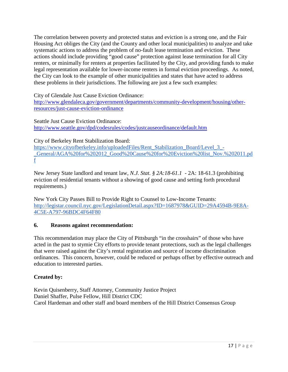The correlation between poverty and protected status and eviction is a strong one, and the Fair Housing Act obliges the City (and the County and other local municipalities) to analyze and take systematic actions to address the problem of no-fault lease termination and eviction. These actions should include providing "good cause" protection against lease termination for all City renters, or minimally for renters at properties facilitated by the City, and providing funds to make legal representation available for lower-income renters in formal eviction proceedings. As noted, the City can look to the example of other municipalities and states that have acted to address these problems in their jurisdictions. The following are just a few such examples:

City of Glendale Just Cause Eviction Ordinance:

[http://www.glendaleca.gov/government/departments/community-development/housing/other](http://www.glendaleca.gov/government/departments/community-development/housing/other-resources/just-cause-eviction-ordinance)[resources/just-cause-eviction-ordinance](http://www.glendaleca.gov/government/departments/community-development/housing/other-resources/just-cause-eviction-ordinance)

Seattle Just Cause Eviction Ordinance: <http://www.seattle.gov/dpd/codesrules/codes/justcauseordinance/default.htm>

City of Berkeley Rent Stabilization Board:

[https://www.cityofberkeley.info/uploadedFiles/Rent\\_Stabilization\\_Board/Level\\_3\\_-](https://www.cityofberkeley.info/uploadedFiles/Rent_Stabilization_Board/Level_3_-_General/AGA%20for%202012_Good%20Cause%20for%20Eviction%20list_Nov.%202011.pdf) [\\_General/AGA%20for%202012\\_Good%20Cause%20for%20Eviction%20list\\_Nov.%202011.pd](https://www.cityofberkeley.info/uploadedFiles/Rent_Stabilization_Board/Level_3_-_General/AGA%20for%202012_Good%20Cause%20for%20Eviction%20list_Nov.%202011.pdf) [f](https://www.cityofberkeley.info/uploadedFiles/Rent_Stabilization_Board/Level_3_-_General/AGA%20for%202012_Good%20Cause%20for%20Eviction%20list_Nov.%202011.pdf)

New Jersey State landlord and tenant law, *N.J. Stat. § 2A:18-61.1* - 2A: 18-61.3 (prohibiting eviction of residential tenants without a showing of good cause and setting forth procedural requirements.)

New York City Passes Bill to Provide Right to Counsel to Low-Income Tenants: [http://legistar.council.nyc.gov/LegislationDetail.aspx?ID=1687978&GUID=29A4594B-9E8A-](http://legistar.council.nyc.gov/LegislationDetail.aspx?ID=1687978&GUID=29A4594B-9E8A-4C5E-A797-96BDC4F64F80)[4C5E-A797-96BDC4F64F80](http://legistar.council.nyc.gov/LegislationDetail.aspx?ID=1687978&GUID=29A4594B-9E8A-4C5E-A797-96BDC4F64F80)

# **6. Reasons against recommendation:**

This recommendation may place the City of Pittsburgh "in the crosshairs" of those who have acted in the past to stymie City efforts to provide tenant protections, such as the legal challenges that were raised against the City's rental registration and source of income discrimination ordinances. This concern, however, could be reduced or perhaps offset by effective outreach and education to interested parties.

# **Created by:**

Kevin Quisenberry, Staff Attorney, Community Justice Project Daniel Shaffer, Pulse Fellow, Hill District CDC Carol Hardeman and other staff and board members of the Hill District Consensus Group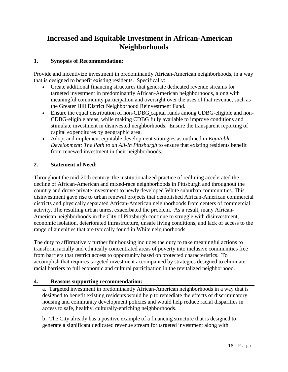# **Increased and Equitable Investment in African-American Neighborhoods**

# **1. Synopsis of Recommendation:**

Provide and incentivize investment in predominantly African-American neighborhoods, in a way that is designed to benefit existing residents. Specifically:

- Create additional financing structures that generate dedicated revenue streams for targeted investment in predominantly African-American neighborhoods, along with meaningful community participation and oversight over the uses of that revenue, such as the Greater Hill District Neighborhood Reinvestment Fund.
- Ensure the equal distribution of non-CDBG capital funds among CDBG-eligible and non-CDBG-eligible areas, while making CDBG fully available to improve conditions and stimulate investment in disinvested neighborhoods. Ensure the transparent reporting of capital expenditures by geographic area.
- Adopt and implement equitable development strategies as outlined in *Equitable Development: The Path to an All-In Pittsburgh* to ensure that existing residents benefit from renewed investment in their neighborhoods.

# **2. Statement of Need:**

Throughout the mid-20th century, the institutionalized practice of redlining accelerated the decline of African-American and mixed-race neighborhoods in Pittsburgh and throughout the country and drove private investment to newly developed White suburban communities. This disinvestment gave rise to urban renewal projects that demolished African-American commercial districts and physically separated African-American neighborhoods from centers of commercial activity. The resulting urban unrest exacerbated the problem. As a result, many African-American neighborhoods in the City of Pittsburgh continue to struggle with disinvestment, economic isolation, deteriorated infrastructure, unsafe living conditions, and lack of access to the range of amenities that are typically found in White neighborhoods.

The duty to affirmatively further fair housing includes the duty to take meaningful actions to transform racially and ethnically concentrated areas of poverty into inclusive communities free from barriers that restrict access to opportunity based on protected characteristics. To accomplish that requires targeted investment accompanied by strategies designed to eliminate racial barriers to full economic and cultural participation in the revitalized neighborhood.

#### **4. Reasons supporting recommendation:**

a. Targeted investment in predominantly African-American neighborhoods in a way that is designed to benefit existing residents would help to remediate the effects of discriminatory housing and community development policies and would help reduce racial disparities in access to safe, healthy, culturally-enriching neighborhoods.

b. The City already has a positive example of a financing structure that is designed to generate a significant dedicated revenue stream for targeted investment along with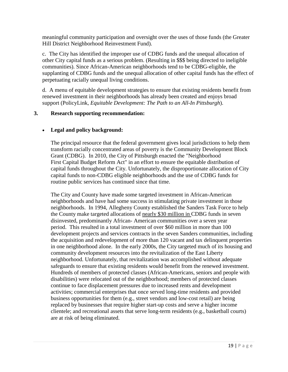meaningful community participation and oversight over the uses of those funds (the Greater Hill District Neighborhood Reinvestment Fund).

c. The City has identified the improper use of CDBG funds and the unequal allocation of other City capital funds as a serious problem. (Resulting in \$\$\$ being directed to ineligible communities). Since African-American neighborhoods tend to be CDBG-eligible, the supplanting of CDBG funds and the unequal allocation of other capital funds has the effect of perpetuating racially unequal living conditions.

d. A menu of equitable development strategies to ensure that existing residents benefit from renewed investment in their neighborhoods has already been created and enjoys broad support (PolicyLink, *Equitable Development: The Path to an All-In Pittsburgh*).

#### **3. Research supporting recommendation:**

#### • **Legal and policy background:**

The principal resource that the federal government gives local jurisdictions to help them transform racially concentrated areas of poverty is the Community Development Block Grant (CDBG). In 2010, the City of Pittsburgh enacted the "Neighborhood First Capital Budget Reform Act" in an effort to ensure the equitable distribution of capital funds throughout the City. Unfortunately, the disproportionate allocation of City capital funds to non-CDBG eligible neighborhoods and the use of CDBG funds for routine public services has continued since that time.

The City and County have made some targeted investment in African-American neighborhoods and have had some success in stimulating private investment in those neighborhoods. In 1994, Allegheny County established the Sanders Task Force to help the County make targeted allocations of nearly \$30 million in CDBG funds in seven disinvested, predominantly African- American communities over a seven year period. This resulted in a total investment of over \$60 million in more than 100 development projects and services contracts in the seven Sanders communities, including the acquisition and redevelopment of more than 120 vacant and tax delinquent properties in one neighborhood alone. In the early 2000s, the City targeted much of its housing and community development resources into the revitalization of the East Liberty neighborhood. Unfortunately, that revitalization was accomplished without adequate safeguards to ensure that existing residents would benefit from the renewed investment. Hundreds of members of protected classes (African-Americans, seniors and people with disabilities) were relocated out of the neighborhood; members of protected classes continue to face displacement pressures due to increased rents and development activities; commercial enterprises that once served long-time residents and provided business opportunities for them (e.g., street vendors and low-cost retail) are being replaced by businesses that require higher start-up costs and serve a higher income clientele; and recreational assets that serve long-term residents (e.g., basketball courts) are at risk of being eliminated.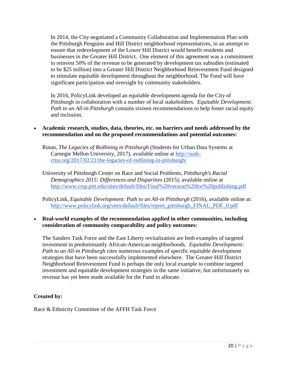In 2014, the City negotiated a Community Collaboration and Implementation Plan with the Pittsburgh Penguins and Hill District neighborhood representatives, in an attempt to ensure that redevelopment of the Lower Hill District would benefit residents and businesses in the Greater Hill District. One element of this agreement was a commitment to reinvest 50% of the revenue to be generated by development tax subsidies (estimated to be \$25 million) into a Greater Hill District Neighborhood Reinvestment Fund designed to stimulate equitable development throughout the neighborhood. The Fund will have significant participation and oversight by community stakeholders.

In 2016, PolicyLink developed an equitable development agenda for the City of Pittsburgh in collaboration with a number of local stakeholders. *Equitable Development: Path to an All-in Pittsburgh* contains sixteen recommendations to help foster racial equity and inclusion.

#### • **Academic research, studies, data, theories, etc. on barriers and needs addressed by the recommendation and on the proposed recommendations and potential outcomes:**

Rutan, *The Legacies of Redlining in Pittsburgh* (Students for Urban Data Systems at Carnegie Mellon University, 2017), available online at [http://suds](http://suds-cmu.org/2017/02/21/the-legacies-of-redlining-in-pittsburgh/)[cmu.org/2017/02/21/the-legacies-of-redlining-in-pittsburgh/](http://suds-cmu.org/2017/02/21/the-legacies-of-redlining-in-pittsburgh/)

University of Pittsburgh Center on Race and Social Problems, *Pittsburgh's Racial Demographics 2015: Differences and Disparities* (2015), available online at <http://www.crsp.pitt.edu/sites/default/files/Final%20version%20for%20publishing.pdf>

PolicyLink, *Equitable Development: Path to an All-in Pittsburgh* (2016), available online at: [http://www.policylink.org/sites/default/files/report\\_pittsburgh\\_FINAL\\_PDF\\_0.pdf](http://www.policylink.org/sites/default/files/report_pittsburgh_FINAL_PDF_0.pdf)

#### • **Real-world examples of the recommendation applied in other communities, including consideration of community comparability and policy outcomes:**

The Sanders Task Force and the East Liberty revitalization are both examples of targeted investment in predominantly African-American neighborhoods. *Equitable Development: Path to an All-in Pittsburgh* cites numerous examples of specific equitable development strategies that have been successfully implemented elsewhere. The Greater Hill District Neighborhood Reinvestment Fund is perhaps the only local example to combine targeted investment and equitable development strategies in the same initiative, but unfortunately no revenue has yet been made available for the Fund to allocate.

#### **Created by:**

Race & Ethnicity Committee of the AFFH Task Force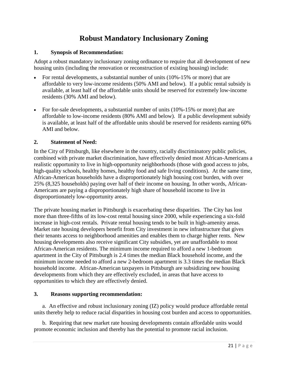# **Robust Mandatory Inclusionary Zoning**

#### **1. Synopsis of Recommendation:**

Adopt a robust mandatory inclusionary zoning ordinance to require that all development of new housing units (including the renovation or reconstruction of existing housing) include:

- For rental developments, a substantial number of units (10%-15% or more) that are affordable to very low-income residents (50% AMI and below). If a public rental subsidy is available, at least half of the affordable units should be reserved for extremely low-income residents (30% AMI and below).
- For for-sale developments, a substantial number of units (10%-15% or more) that are affordable to low-income residents (80% AMI and below). If a public development subsidy is available, at least half of the affordable units should be reserved for residents earning 60% AMI and below.

#### **2. Statement of Need:**

In the City of Pittsburgh, like elsewhere in the country, racially discriminatory public policies, combined with private market discrimination, have effectively denied most African-Americans a realistic opportunity to live in high-opportunity neighborhoods (those with good access to jobs, high-quality schools, healthy homes, healthy food and safe living conditions). At the same time, African-American households have a disproportionately high housing cost burden, with over 25% (8,325 households) paying over half of their income on housing. In other words, African-Americans are paying a disproportionately high share of household income to live in disproportionately low-opportunity areas.

The private housing market in Pittsburgh is exacerbating these disparities. The City has lost more than three-fifths of its low-cost rental housing since 2000, while experiencing a six-fold increase in high-cost rentals. Private rental housing tends to be built in high-amenity areas. Market rate housing developers benefit from City investment in new infrastructure that gives their tenants access to neighborhood amenities and enables them to charge higher rents. New housing developments also receive significant City subsidies, yet are unaffordable to most African-American residents. The minimum income required to afford a new 1-bedroom apartment in the City of Pittsburgh is 2.4 times the median Black household income, and the minimum income needed to afford a new 2-bedroom apartment is 3.3 times the median Black household income. African-American taxpayers in Pittsburgh are subsidizing new housing developments from which they are effectively excluded, in areas that have access to opportunities to which they are effectively denied.

#### **3. Reasons supporting recommendation:**

a. An effective and robust inclusionary zoning (IZ) policy would produce affordable rental units thereby help to reduce racial disparities in housing cost burden and access to opportunities.

b. Requiring that new market rate housing developments contain affordable units would promote economic inclusion and thereby has the potential to promote racial inclusion.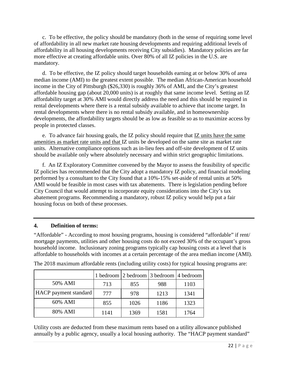c. To be effective, the policy should be mandatory (both in the sense of requiring some level of affordability in all new market rate housing developments and requiring additional levels of affordability in all housing developments receiving City subsidies). Mandatory policies are far more effective at creating affordable units. Over 80% of all IZ policies in the U.S. are mandatory.

d. To be effective, the IZ policy should target households earning at or below 30% of area median income (AMI) to the greatest extent possible. The median African-American household income in the City of Pittsburgh (\$26,330) is roughly 36% of AMI, and the City's greatest affordable housing gap (about 20,000 units) is at roughly that same income level. Setting an IZ affordability target at 30% AMI would directly address the need and this should be required in rental developments where there is a rental subsidy available to achieve that income target. In rental developments where there is no rental subsidy available, and in homeownership developments, the affordability targets should be as low as feasible so as to maximize access by people in protected classes.

e. To advance fair housing goals, the IZ policy should require that IZ units have the same amenities as market rate units and that IZ units be developed on the same site as market rate units. Alternative compliance options such as in-lieu fees and off-site development of IZ units should be available only where absolutely necessary and within strict geographic limitations.

f. An IZ Exploratory Committee convened by the Mayor to assess the feasibility of specific IZ policies has recommended that the City adopt a mandatory IZ policy, and financial modeling performed by a consultant to the City found that a 10%-15% set-aside of rental units at 50% AMI would be feasible in most cases with tax abatements. There is legislation pending before City Council that would attempt to incorporate equity considerations into the City's tax abatement programs. Recommending a mandatory, robust IZ policy would help put a fair housing focus on both of these processes.

#### **4. Definition of terms:**

"Affordable" - According to most housing programs, housing is considered "affordable" if rent/ mortgage payments, utilities and other housing costs do not exceed 30% of the occupant's gross household income. Inclusionary zoning programs typically cap housing costs at a level that is affordable to households with incomes at a certain percentage of the area median income (AMI).

|                       |      | 1 bedroom 2 bedroom 3 bedroom 4 bedroom |      |      |
|-----------------------|------|-----------------------------------------|------|------|
| 50% AMI               | 713  | 855                                     | 988  | 1103 |
| HACP payment standard | 777  | 978                                     | 1213 | 1341 |
| 60% AMI               | 855  | 1026                                    | 1186 | 1323 |
| 80% AMI               | 1141 | 1369                                    | 1581 | 1764 |

The 2018 maximum affordable rents (including utility costs) for typical housing programs are:

Utility costs are deducted from these maximum rents based on a utility allowance published annually by a public agency, usually a local housing authority. The "HACP payment standard"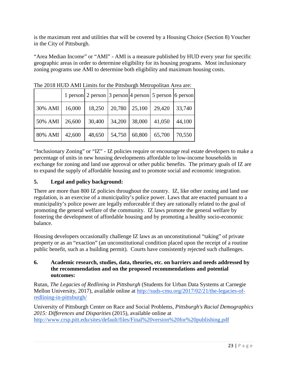is the maximum rent and utilities that will be covered by a Housing Choice (Section 8) Voucher in the City of Pittsburgh.

"Area Median Income" or "AMI" - AMI is a measure published by HUD every year for specific geographic areas in order to determine eligibility for its housing programs. Most inclusionary zoning programs use AMI to determine both eligibility and maximum housing costs.

|         |        |        |        |        | 1 person 2 person 3 person 4 person 5 person 6 person |        |
|---------|--------|--------|--------|--------|-------------------------------------------------------|--------|
| 30% AMI | 16,000 | 18,250 | 20,780 | 25,100 | 29,420                                                | 33,740 |
| 50% AMI | 26,600 | 30,400 | 34,200 | 38,000 | 41,050                                                | 44,100 |
| 80% AMI | 42,600 | 48,650 | 54,750 | 60,800 | 65,700                                                | 70,550 |

The 2018 HUD AMI Limits for the Pittsburgh Metropolitan Area are:

"Inclusionary Zoning" or "IZ" - IZ policies require or encourage real estate developers to make a percentage of units in new housing developments affordable to low-income households in exchange for zoning and land use approval or other public benefits. The primary goals of IZ are to expand the supply of affordable housing and to promote social and economic integration.

# **5. Legal and policy background:**

There are more than 800 IZ policies throughout the country. IZ, like other zoning and land use regulation, is an exercise of a municipality's police power. Laws that are enacted pursuant to a municipality's police power are legally enforceable if they are rationally related to the goal of promoting the general welfare of the community. IZ laws promote the general welfare by fostering the development of affordable housing and by promoting a healthy socio-economic balance.

Housing developers occasionally challenge IZ laws as an unconstitutional "taking" of private property or as an "exaction" (an unconstitutional condition placed upon the receipt of a routine public benefit, such as a building permit). Courts have consistently rejected such challenges.

#### **6. Academic research, studies, data, theories, etc. on barriers and needs addressed by the recommendation and on the proposed recommendations and potential outcomes:**

Rutan, *The Legacies of Redlining in Pittsburgh* (Students for Urban Data Systems at Carnegie Mellon University, 2017), available online at [http://suds-cmu.org/2017/02/21/the-legacies-of](http://suds-cmu.org/2017/02/21/the-legacies-of-redlining-in-pittsburgh/)[redlining-in-pittsburgh/](http://suds-cmu.org/2017/02/21/the-legacies-of-redlining-in-pittsburgh/)

University of Pittsburgh Center on Race and Social Problems, *Pittsburgh's Racial Demographics 2015: Differences and Disparities* (2015), available online at <http://www.crsp.pitt.edu/sites/default/files/Final%20version%20for%20publishing.pdf>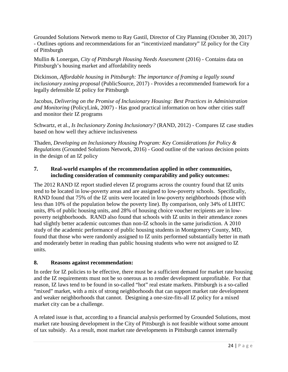Grounded Solutions Network memo to Ray Gastil, Director of City Planning (October 30, 2017) - Outlines options and recommendations for an "incentivized mandatory" IZ policy for the City of Pittsburgh

Mullin & Lonergan, *City of Pittsburgh Housing Needs Assessment* (2016) - Contains data on Pittsburgh's housing market and affordability needs

Dickinson, *Affordable housing in Pittsburgh: The importance of framing a legally sound inclusionary zoning proposal* (PublicSource, 2017) - Provides a recommended framework for a legally defensible IZ policy for Pittsburgh

Jacobus, *Delivering on the Promise of Inclusionary Housing: Best Practices in Administration and Monitoring* (PolicyLink, 2007) - Has good practical information on how other cities staff and monitor their IZ programs

Schwartz, et al., *Is Inclusionary Zoning Inclusionary?* (RAND, 2012) - Compares IZ case studies based on how well they achieve inclusiveness

Thaden, *Developing an Inclusionary Housing Program: Key Considerations for Policy & Regulations* (Grounded Solutions Network, 2016) - Good outline of the various decision points in the design of an IZ policy

#### **7. Real-world examples of the recommendation applied in other communities, including consideration of community comparability and policy outcomes:**

The 2012 RAND IZ report studied eleven IZ programs across the country found that IZ units tend to be located in low-poverty areas and are assigned to low-poverty schools. Specifically, RAND found that 75% of the IZ units were located in low-poverty neighborhoods (those with less than 10% of the population below the poverty line). By comparison, only 34% of LIHTC units, 8% of public housing units, and 28% of housing choice voucher recipients are in lowpoverty neighborhoods. RAND also found that schools with IZ units in their attendance zones had slightly better academic outcomes than non-IZ schools in the same jurisdiction. A 2010 study of the academic performance of public housing students in Montgomery County, MD, found that those who were randomly assigned to IZ units performed substantially better in math and moderately better in reading than public housing students who were not assigned to IZ units.

#### **8. Reasons against recommendation:**

In order for IZ policies to be effective, there must be a sufficient demand for market rate housing and the IZ requirements must not be so onerous as to render development unprofitable. For that reason, IZ laws tend to be found in so-called "hot" real estate markets. Pittsburgh is a so-called "mixed" market, with a mix of strong neighborhoods that can support market rate development and weaker neighborhoods that cannot. Designing a one-size-fits-all IZ policy for a mixed market city can be a challenge.

A related issue is that, according to a financial analysis performed by Grounded Solutions, most market rate housing development in the City of Pittsburgh is not feasible without some amount of tax subsidy. As a result, most market rate developments in Pittsburgh cannot internally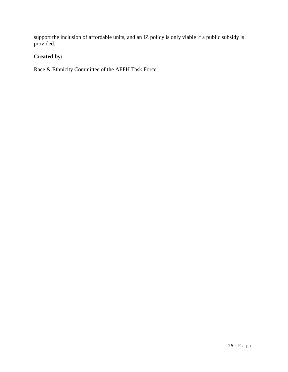support the inclusion of affordable units, and an IZ policy is only viable if a public subsidy is provided.

# **Created by:**

Race & Ethnicity Committee of the AFFH Task Force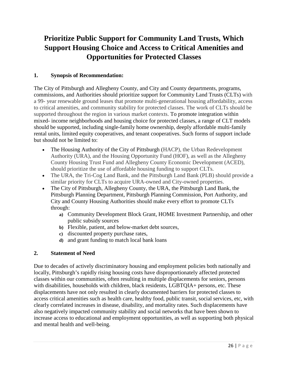# **Prioritize Public Support for Community Land Trusts, Which Support Housing Choice and Access to Critical Amenities and Opportunities for Protected Classes**

# **1. Synopsis of Recommendation:**

The City of Pittsburgh and Allegheny County, and City and County departments, programs, commissions, and Authorities should prioritize support for Community Land Trusts (CLTs) with a 99- year renewable ground leases that promote multi-generational housing affordability, access to critical amenities, and community stability for protected classes. The work of CLTs should be supported throughout the region in various market contexts. To promote integration within mixed- income neighborhoods and housing choice for protected classes, a range of CLT models should be supported, including single-family home ownership, deeply affordable multi-family rental units, limited equity cooperatives, and tenant cooperatives. Such forms of support include but should not be limited to:

- The Housing Authority of the City of Pittsburgh (HACP), the Urban Redevelopment Authority (URA), and the Housing Opportunity Fund (HOF), as well as the Allegheny County Housing Trust Fund and Allegheny County Economic Development (ACED), should prioritize the use of affordable housing funding to support CLTs.
- The URA, the Tri-Cog Land Bank, and the Pittsburgh Land Bank (PLB) should provide a similar priority for CLTs to acquire URA-owned and City-owned properties.
- The City of Pittsburgh, Allegheny County, the URA, the Pittsburgh Land Bank, the Pittsburgh Planning Department, Pittsburgh Planning Commission, Port Authority, and City and County Housing Authorities should make every effort to promote CLTs through:
	- **a)** Community Development Block Grant, HOME Investment Partnership, and other public subsidy sources
	- **b)** Flexible, patient, and below-market debt sources,
	- **c)** discounted property purchase rates,
	- **d)** and grant funding to match local bank loans

#### **2. Statement of Need**

Due to decades of actively discriminatory housing and employment policies both nationally and locally, Pittsburgh's rapidly rising housing costs have disproportionately affected protected classes within our communities, often resulting in multiple displacements for seniors, persons with disabilities, households with children, black residents, LGBTQIA+ persons, etc. These displacements have not only resulted in clearly documented barriers for protected classes to access critical amenities such as health care, healthy food, public transit, social services, etc, with clearly correlated increases in disease, disability, and mortality rates. Such displacements have also negatively impacted community stability and social networks that have been shown to increase access to educational and employment opportunities, as well as supporting both physical and mental health and well-being.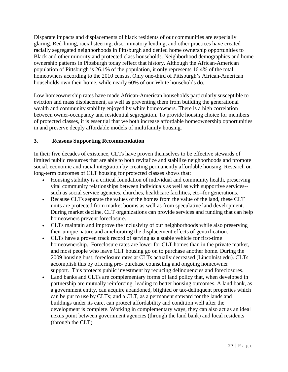Disparate impacts and displacements of black residents of our communities are especially glaring. Red-lining, racial steering, discriminatory lending, and other practices have created racially segregated neighborhoods in Pittsburgh and denied home ownership opportunities to Black and other minority and protected class households. Neighborhood demographics and home ownership patterns in Pittsburgh today reflect that history. Although the African-American population of Pittsburgh is 26.1% of the population, it only represents 16.4% of the total homeowners according to the 2010 census. Only one-third of Pittsburgh's African-American households own their home, while nearly 60% of our White households do.

Low homeownership rates have made African-American households particularly susceptible to eviction and mass displacement, as well as preventing them from building the generational wealth and community stability enjoyed by white homeowners. There is a high correlation between owner-occupancy and residential segregation. To provide housing choice for members of protected classes, it is essential that we both increase affordable homeownership opportunities in and preserve deeply affordable models of multifamily housing.

# **3. Reasons Supporting Recommendation**

In their five decades of existence, CLTs have proven themselves to be effective stewards of limited public resources that are able to both revitalize and stabilize neighborhoods and promote social, economic and racial integration by creating permanently affordable housing. Research on long-term outcomes of CLT housing for protected classes shows that:

- Housing stability is a critical foundation of individual and community health, preserving vital community relationships between individuals as well as with supportive services- such as social service agencies, churches, healthcare facilities, etc--for generations.
- Because CLTs separate the values of the homes from the value of the land, these CLT units are protected from market booms as well as from speculative land development. During market decline, CLT organizations can provide services and funding that can help homeowners prevent foreclosure.
- CLTs maintain and improve the inclusivity of our neighborhoods while also preserving their unique nature and ameliorating the displacement effects of gentrification.
- CLTs have a proven track record of serving as a stable vehicle for first-time homeownership. Foreclosure rates are lower for CLT homes than in the private market, and most people who leave CLT housing go on to purchase another home. During the 2009 housing bust, foreclosure rates at CLTs actually decreased (Lincolnist.edu). CLTs accomplish this by offering pre- purchase counseling and ongoing homeowner support. This protects public investment by reducing delinquencies and foreclosures.
- Land banks and CLTs are complementary forms of land policy that, when developed in partnership are mutually reinforcing, leading to better housing outcomes. A land bank, as a government entity, can acquire abandoned, blighted or tax-delinquent properties which can be put to use by CLTs; and a CLT, as a permanent steward for the lands and buildings under its care, can protect affordability and condition well after the development is complete. Working in complementary ways, they can also act as an ideal nexus point between government agencies (through the land bank) and local residents (through the CLT).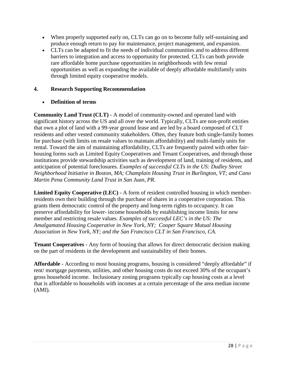- When properly supported early on, CLTs can go on to become fully self-sustaining and produce enough return to pay for maintenance, project management, and expansion.
- CLTs can be adapted to fit the needs of individual communities and to address different barriers to integration and access to opportunity for protected. CLTs can both provide rare affordable home purchase opportunities in neighborhoods with few rental opportunities as well as expanding the available of deeply affordable multifamily units through limited equity cooperative models.

# **4. Research Supporting Recommendation**

# • **Definition of terms**

**Community Land Trust (CLT)** - A model of community-owned and operated land with significant history across the US and all over the world. Typically, CLTs are non-profit entities that own a plot of land with a 99-year ground lease and are led by a board composed of CLT residents and other vested community stakeholders. Often, they feature both single-family homes for purchase (with limits on resale values to maintain affordability) and multi-family units for rental. Toward the aim of maintaining affordability, CLTs are frequently paired with other fairhousing forms such as Limited Equity Cooperatives and Tenant Cooperatives, and through those institutions provide stewardship activities such as development of land, training of residents, and anticipation of potential foreclosures. *Examples of successful CLTs in the US: Dudley Street Neighborhood Initiative in Boston, MA; Champlain Housing Trust in Burlington, VT; and Cano Martin Pena Community Land Trust in San Juan, PR*.

**Limited Equity Cooperative (LEC)** - A form of resident controlled housing in which memberresidents own their building through the purchase of shares in a cooperative corporation. This grants them democratic control of the property and long-term rights to occupancy. It can preserve affordability for lower- income households by establishing income limits for new member and restricting resale values. *Examples of successful LEC's in the US: The Amalgamated Housing Cooperative in New York, NY; Cooper Square Mutual Housing Association in New York, NY; and the San Francisco CLT in San Francisco, CA.* 

**Tenant Cooperatives** - Any form of housing that allows for direct democratic decision making on the part of residents in the development and sustainability of their homes.

**Affordable** - According to most housing programs, housing is considered "deeply affordable" if rent/ mortgage payments, utilities, and other housing costs do not exceed 30% of the occupant's gross household income. Inclusionary zoning programs typically cap housing costs at a level that is affordable to households with incomes at a certain percentage of the area median income (AMI).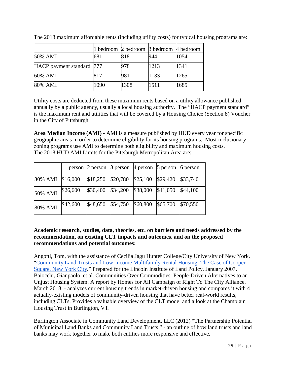|                           |      | 1 bedroom 2 bedroom 3 bedroom 4 bedroom |      |      |
|---------------------------|------|-----------------------------------------|------|------|
| 50% AMI                   | 681  | 818                                     | 944  | 1054 |
| HACP payment standard 777 |      | 978                                     | 1213 | 1341 |
| 60% AMI                   | 817  | 981                                     | 1133 | 1265 |
| 80% AMI                   | 1090 | 1308                                    | 1511 | 1685 |

The 2018 maximum affordable rents (including utility costs) for typical housing programs are:

Utility costs are deducted from these maximum rents based on a utility allowance published annually by a public agency, usually a local housing authority. The "HACP payment standard" is the maximum rent and utilities that will be covered by a Housing Choice (Section 8) Voucher in the City of Pittsburgh.

**Area Median Income (AMI)** - AMI is a measure published by HUD every year for specific geographic areas in order to determine eligibility for its housing programs. Most inclusionary zoning programs use AMI to determine both eligibility and maximum housing costs. The 2018 HUD AMI Limits for the Pittsburgh Metropolitan Area are:

|                  |          |  | 1 person $\vert$ 2 person $\vert$ 3 person $\vert$ 4 person $\vert$ 5 person $\vert$ 6 person |          |
|------------------|----------|--|-----------------------------------------------------------------------------------------------|----------|
| 30% AMI \$16,000 |          |  | $$18,250$ $$20,780$ $$25,100$ $$29,420$                                                       | \$33,740 |
| 50% AMI          | \$26,600 |  | $\$\,30,400$ $\$\,34,200$ $\$\,38,000$ $\$\,41,050$                                           | \$44,100 |
| 80% AMI          | \$42,600 |  | $$48,650$ $$54,750$ $$60,800$ $$65,700$                                                       | \$70,550 |

# **Academic research, studies, data, theories, etc. on barriers and needs addressed by the recommendation, on existing CLT impacts and outcomes, and on the proposed recommendations and potential outcomes:**

Angotti, Tom, with the assistance of Cecilia Jagu Hunter College/City University of New York. ["Community Land Trusts and Low-Income Multifamily Rental Housing: The Case of Cooper](https://www.researchgate.net/publication/252918833_Community_Land_Trusts_and_Low-Income_Multifamily_Rental_Housing_The_Case_of_Cooper_Square_New_York_City)  [Square, New York City.](https://www.researchgate.net/publication/252918833_Community_Land_Trusts_and_Low-Income_Multifamily_Rental_Housing_The_Case_of_Cooper_Square_New_York_City)" Prepared for the Lincoln Institute of Land Policy, January 2007. Baiocchi, Gianpaolo, et al. Communities Over Commodities: People-Driven Alternatives to an Unjust Housing System. A report by Homes for All Campaign of Right To The City Alliance. March 2018. - analyzes current housing trends in market-driven housing and compares it with 4 actually-existing models of community-driven housing that have better real-world results, including CLTs. Provides a valuable overview of the CLT model and a look at the Champlain Housing Trust in Burlington, VT.

Burlington Associate in Community Land Development, LLC (2012) "The Partnership Potential of Municipal Land Banks and Community Land Trusts." - an outline of how land trusts and land banks may work together to make both entities more responsive and effective.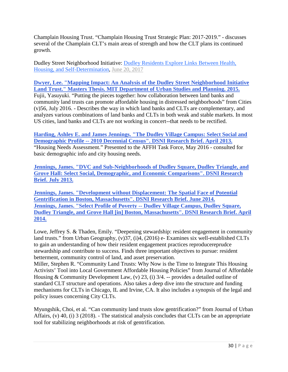Champlain Housing Trust. "Champlain Housing Trust Strategic Plan: 2017-2019." - discusses several of the Champlain CLT's main areas of strength and how the CLT plans its continued growth.

Dudley Street Neighborhood Initiative: [Dudley Residents Explore Links Between Health,](https://www.dsni.org/dsni-blog/2017/6/19/dudley-residents-explore-links-between-health-housing-and-self-determination)  [Housing, and Self-Determination, June 20, 2017](https://www.dsni.org/dsni-blog/2017/6/19/dudley-residents-explore-links-between-health-housing-and-self-determination)

**[Dwyer, Lee. "Mapping Impact: An Analysis of the Dudley Street Neighborhood Initiative](https://www.dsni.org/s/Dwyer_Thesis_FINAL_compressed.pdf)  Land Trust." Masters [Thesis. MIT Department of Urban Studies and Planning. 2015.](https://www.dsni.org/s/Dwyer_Thesis_FINAL_compressed.pdf)**

Fujii, Yasuyuki. "Putting the pieces together: how collaboration between land banks and community land trusts can promote affordable housing in distressed neighborhoods" from Cities (v)56, July 2016. - Describes the way in which land banks and CLTs are complementary, and analyzes various combinations of land banks and CLTs in both weak and stable markets. In most US cities, land banks and CLTs are not working in concert--that needs to be rectified.

**[Harding, Ashley E. and James Jennings. "The Dudley Village Campus: Select Social and](https://www.dsni.org/s/DSNI-and-DVC-Select-Poverty-Profile-Jennings-April-2014.pdf)  Demographic Profile -- [2010 Decennial Census". DSNI Research Brief. April 2013.](https://www.dsni.org/s/DSNI-and-DVC-Select-Poverty-Profile-Jennings-April-2014.pdf)**  "Housing Needs Assessment." Presented to the AFFH Task Force, May 2016 - consulted for basic demographic info and city housing needs.

**[Jennings, James. "DVC and Sub-Neighborhoods of Dudley Square, Dudley Triangle, and](https://www.dsni.org/for-researchers)  [Grove Hall: Select Social, Demographic, and Economic Comparisons". DSNI Research](https://www.dsni.org/for-researchers)  [Brief. July 2013.](https://www.dsni.org/for-researchers)**

**[Jennings, James. "Development without Displacement: The Spatial Face of Potential](https://www.dsni.org/for-researchers)  [Gentrification in Boston, Massachusetts". DSNI Research Brief. June 2014.](https://www.dsni.org/for-researchers) [Jennings, James. "Select Profile of Poverty --](https://www.dsni.org/s/DSNI-and-DVC-Select-Poverty-Profile-Jennings-April-2014.pdf) Dudley Village Campus, Dudley Square, [Dudley Triangle, and Grove Hall \[in\] Boston, Massachusetts". DSNI Research Brief. April](https://www.dsni.org/s/DSNI-and-DVC-Select-Poverty-Profile-Jennings-April-2014.pdf)  [2014.](https://www.dsni.org/s/DSNI-and-DVC-Select-Poverty-Profile-Jennings-April-2014.pdf)**

Lowe, Jeffrey S. & Thaden, Emily. "Deepening stewardship: resident engagement in community land trusts." from Urban Geography, (v)37, (i)4, (2016) e- Examines six well-established CLTs to gain an understanding of how their resident engagement practices reproducereprudce stewardship and contribute to success. Finds three important objectives to pursue: resident betterment, community control of land, and asset preservation.

Miller, Stephen R. "Community Land Trusts: Why Now is the Time to Integrate This Housing Activists' Tool into Local Government Affordable Housing Policies" from Journal of Affordable Housing & Community Development Law, (v) 23, (i)  $3/4$ . -- provides a detailed outline of standard CLT structure and operations. Also takes a deep dive into the structure and funding mechanisms for CLTs in Chicago, IL and Irvine, CA. It also includes a synopsis of the legal and policy issues concerning City CLTs.

Myungshik, Choi, et al. "Can community land trusts slow gentrification?" from Journal of Urban Affairs, (v) 40, (i) 3 (2018). - The statistical analysis concludes that CLTs can be an appropriate tool for stabilizing neighborhoods at risk of gentrification.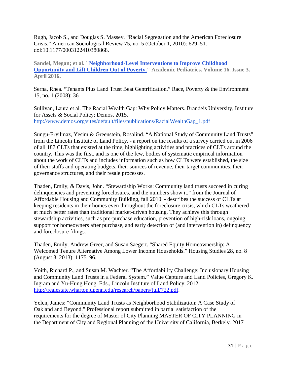Rugh, Jacob S., and Douglas S. Massey. "Racial Segregation and the American Foreclosure Crisis." American Sociological Review 75, no. 5 (October 1, 2010): 629–51. doi:10.1177/0003122410380868.

**Sandel, Megan; et al. ["Neighborhood-Level Interventions to Improve Childhood](https://www.dsni.org/s/NeighborhoodInterventions.pdf)  [Opportunity and Lift Children Out of Poverty."](https://www.dsni.org/s/NeighborhoodInterventions.pdf) Academic Pediatrics. Volume 16. Issue 3. April 2016.**

Serna, Rhea. "Tenants Plus Land Trust Beat Gentrification." Race, Poverty & the Environment 15, no. 1 (2008): 36

Sullivan, Laura et al. The Racial Wealth Gap: Why Policy Matters. Brandeis University, Institute for Assets & Social Policy; Demos, 2015. [http://www.demos.org/sites/default/files/publications/RacialWealthGap\\_1.pdf](http://www.demos.org/sites/default/files/publications/RacialWealthGap_1.pdf)

Sungu-Eryilmaz, Yesim & Greenstein, Rosalind. "A National Study of Community Land Trusts" from the Lincoln Institute of Land Policy. - a report on the results of a survey carried out in 2006 of all 187 CLTs that existed at the time, highlighting activities and practices of CLTs around the country. This was the first, and is one of the few, bodies of systematic empirical information about the work of CLTs and includes information such as how CLTs were established, the size of their staffs and operating budgets, their sources of revenue, their target communities, their governance structures, and their resale processes.

Thaden, Emily, & Davis, John. "Stewardship Works: Community land trusts succeed in curing delinquencies and preventing foreclosures, and the numbers show it." from the Journal of Affordable Housing and Community Building, fall 2010. - describes the success of CLTs at keeping residents in their homes even throughout the foreclosure crisis, which CLTs weathered at much better rates than traditional market-driven housing. They achieve this through stewardship activities, such as pre-purchase education, prevention of high-risk loans, ongoing support for homeowners after purchase, and early detection of (and intervention in) delinquency and foreclosure filings.

Thaden, Emily, Andrew Greer, and Susan Saegert. "Shared Equity Homeownership: A Welcomed Tenure Alternative Among Lower Income Households." Housing Studies 28, no. 8 (August 8, 2013): 1175–96.

Voith, Richard P., and Susan M. Wachter. "The Affordability Challenge: Inclusionary Housing and Community Land Trusts in a Federal System." Value Capture and Land Policies, Gregory K. Ingram and Yu-Hung Hong, Eds., Lincoln Institute of Land Policy, 2012. [http://realestate.wharton.upenn.edu/research/papers/full/722.pdf.](http://realestate.wharton.upenn.edu/research/papers/full/722.pdf)

Yelen, James: "Community Land Trusts as Neighborhood Stabilization: A Case Study of Oakland and Beyond." Professional report submitted in partial satisfaction of the requirements for the degree of Master of City Planning MASTER OF CITY PLANNING in the Department of City and Regional Planning of the University of California, Berkely. 2017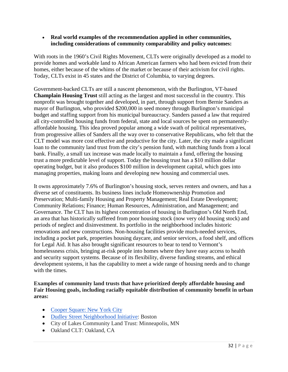• **Real world examples of the recommendation applied in other communities, including considerations of community comparability and policy outcomes:** 

With roots in the 1960's Civil Rights Movement, CLTs were originally developed as a model to provide homes and workable land to African American farmers who had been evicted from their homes, either because of the whims of the market or because of their activism for civil rights. Today, CLTs exist in 45 states and the District of Columbia, to varying degrees.

Government-backed CLTs are still a nascent phenomenon, with the Burlington, VT-based **Champlain Housing Trust** still acting as the largest and most successful in the country. This nonprofit was brought together and developed, in part, through support from Bernie Sanders as mayor of Burlington, who provided \$200,000 in seed money through Burlington's municipal budget and staffing support from his municipal bureaucracy. Sanders passed a law that required all city-controlled housing funds from federal, state and local sources be spent on permanentlyaffordable housing. This idea proved popular among a wide swath of political representatives, from progressive allies of Sanders all the way over to conservative Republicans, who felt that the CLT model was more cost effective and productive for the city. Later, the city made a significant loan to the community land trust from the city's pension fund, with matching funds from a local bank. Finally, a small tax increase was made locally to maintain a fund, offering the housing trust a more predictable level of support. Today the housing trust has a \$10 million dollar operating budget, but it also produces \$100 million in development capital, which goes into managing properties, making loans and developing new housing and commercial uses.

It owns approximately 7.6% of Burlington's housing stock, serves renters and owners, and has a diverse set of constituents. Its business lines include Homeownership Promotion and Preservation; Multi-family Housing and Property Management; Real Estate Development; Community Relations; Finance; Human Resources, Administration, and Management; and Governance. The CLT has its highest concentration of housing in Burlington's Old North End, an area that has historically suffered from poor housing stock (now very old housing stock) and periods of neglect and disinvestment. Its portfolio in the neighborhood includes historic renovations and new constructions. Non-housing facilities provide much-needed services, including a pocket park, properties housing daycare, and senior services, a food shelf, and offices for Legal Aid. It has also brought significant resources to bear to tend to Vermont's homelessness crisis, bringing at-risk people into homes where they have easy access to health and security support systems. Because of its flexibility, diverse funding streams, and ethical development systems, it has the capability to meet a wide range of housing needs and to change with the times.

**Examples of community land trusts that have prioritized deeply affordable housing and Fair Housing goals, including racially equitable distribution of community benefit in urban areas:** 

- [Cooper Square: New York City](https://coopersquare.org/about-us/our-historical-accomplishments)
- [Dudley Street Neighborhood Initiative:](https://www.dsni.org/dsni-historic-timeline) Boston
- City of Lakes Community Land Trust: Minneapolis, MN
- Oakland CLT: Oakland, CA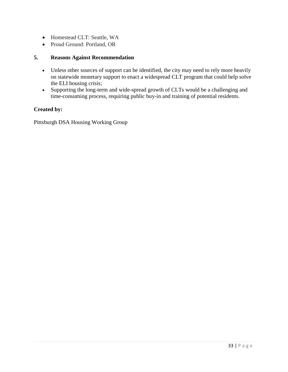- Homestead CLT: Seattle, WA
- Proud Ground: Portland, OR

#### **5. Reasons Against Recommendation**

- Unless other sources of support can be identified, the city may need to rely more heavily on statewide monetary support to enact a widespread CLT program that could help solve the ELI housing crisis;
- Supporting the long-term and wide-spread growth of CLTs would be a challenging and time-consuming process, requiring public buy-in and training of potential residents.

#### **Created by:**

Pittsburgh DSA Housing Working Group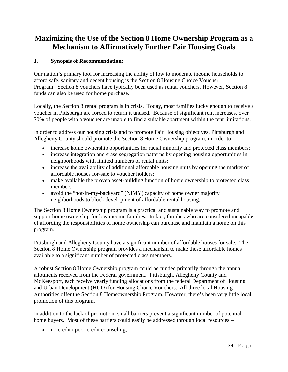# **Maximizing the Use of the Section 8 Home Ownership Program as a Mechanism to Affirmatively Further Fair Housing Goals**

# **1. Synopsis of Recommendation:**

Our nation's primary tool for increasing the ability of low to moderate income households to afford safe, sanitary and decent housing is the Section 8 Housing Choice Voucher Program. Section 8 vouchers have typically been used as rental vouchers. However, Section 8 funds can also be used for home purchase.

Locally, the Section 8 rental program is in crisis. Today, most families lucky enough to receive a voucher in Pittsburgh are forced to return it unused. Because of significant rent increases, over 70% of people with a voucher are unable to find a suitable apartment within the rent limitations.

In order to address our housing crisis and to promote Fair Housing objectives, Pittsburgh and Allegheny County should promote the Section 8 Home Ownership program, in order to:

- increase home ownership opportunities for racial minority and protected class members;
- increase integration and erase segregation patterns by opening housing opportunities in neighborhoods with limited numbers of rental units;
- increase the availability of additional affordable housing units by opening the market of affordable houses for-sale to voucher holders;
- make available the proven asset-building function of home ownership to protected class members
- avoid the "not-in-my-backyard" (NIMY) capacity of home owner majority neighborhoods to block development of affordable rental housing.

The Section 8 Home Ownership program is a practical and sustainable way to promote and support home ownership for low income families. In fact, families who are considered incapable of affording the responsibilities of home ownership can purchase and maintain a home on this program.

Pittsburgh and Allegheny County have a significant number of affordable houses for sale. The Section 8 Home Ownership program provides a mechanism to make these affordable homes available to a significant number of protected class members.

A robust Section 8 Home Ownership program could be funded primarily through the annual allotments received from the Federal government. Pittsburgh, Allegheny County and McKeesport, each receive yearly funding allocations from the federal Department of Housing and Urban Development (HUD) for Housing Choice Vouchers. All three local Housing Authorities offer the Section 8 Homeownership Program. However, there's been very little local promotion of this program.

In addition to the lack of promotion, small barriers prevent a significant number of potential home buyers. Most of these barriers could easily be addressed through local resources –

• no credit / poor credit counseling;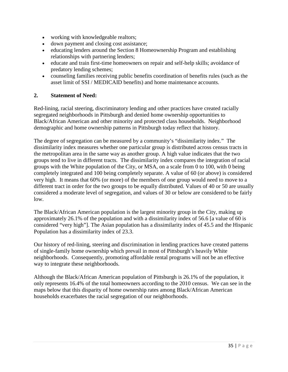- working with knowledgeable realtors;
- down payment and closing cost assistance;
- educating lenders around the Section 8 Homeownership Program and establishing relationships with partnering lenders;
- educate and train first-time homeowners on repair and self-help skills; avoidance of predatory lending schemes;
- counseling families receiving public benefits coordination of benefits rules (such as the asset limit of SSI / MEDICAID benefits) and home maintenance accounts.

#### **2. Statement of Need:**

Red-lining, racial steering, discriminatory lending and other practices have created racially segregated neighborhoods in Pittsburgh and denied home ownership opportunities to Black/African American and other minority and protected class households. Neighborhood demographic and home ownership patterns in Pittsburgh today reflect that history.

The degree of segregation can be measured by a community's "dissimilarity index." The dissimilarity index measures whether one particular group is distributed across census tracts in the metropolitan area in the same way as another group. A high value indicates that the two groups tend to live in different tracts. The dissimilarity index compares the integration of racial groups with the White population of the City, or MSA, on a scale from 0 to 100, with 0 being completely integrated and 100 being completely separate. A value of 60 (or above) is considered very high. It means that 60% (or more) of the members of one group would need to move to a different tract in order for the two groups to be equally distributed. Values of 40 or 50 are usually considered a moderate level of segregation, and values of 30 or below are considered to be fairly low.

The Black/African American population is the largest minority group in the City, making up approximately 26.1% of the population and with a dissimilarity index of 56.6 [a value of 60 is considered "very high"]. The Asian population has a dissimilarity index of 45.5 and the Hispanic Population has a dissimilarity index of 23.3.

Our history of red-lining, steering and discrimination in lending practices have created patterns of single-family home ownership which prevail in most of Pittsburgh's heavily White neighborhoods. Consequently, promoting affordable rental programs will not be an effective way to integrate these neighborhoods.

Although the Black/African American population of Pittsburgh is 26.1% of the population, it only represents 16.4% of the total homeowners according to the 2010 census. We can see in the maps below that this disparity of home ownership rates among Black/African American households exacerbates the racial segregation of our neighborhoods.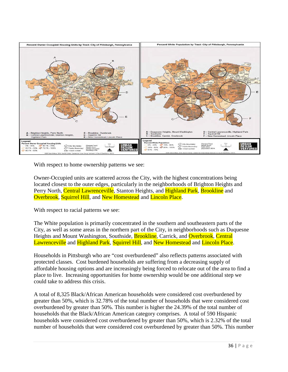

With respect to home ownership patterns we see:

Owner-Occupied units are scattered across the City, with the highest concentrations being located closest to the outer edges, particularly in the neighborhoods of Brighton Heights and Perry North, Central Lawrenceville, Stanton Heights, and Highland Park, Brookline and Overbrook, Squirrel Hill, and New Homestead and Lincoln Place.

With respect to racial patterns we see:

The White population is primarily concentrated in the southern and southeastern parts of the City, as well as some areas in the northern part of the City, in neighborhoods such as Duquesne Heights and Mount Washington, Southside, **Brookline**, Carrick, and **Overbrook**, Central Lawrenceville and Highland Park, Squirrel Hill, and New Homestead and Lincoln Place.

Households in Pittsburgh who are "cost overburdened" also reflects patterns associated with protected classes. Cost burdened households are suffering from a decreasing supply of affordable housing options and are increasingly being forced to relocate out of the area to find a place to live. Increasing opportunities for home ownership would be one additional step we could take to address this crisis.

A total of 8,325 Black/African American households were considered cost overburdened by greater than 50%, which is 32.78% of the total number of households that were considered cost overburdened by greater than 50%. This number is higher the 24.39% of the total number of households that the Black/African American category comprises. A total of 590 Hispanic households were considered cost overburdened by greater than 50%, which is 2.32% of the total number of households that were considered cost overburdened by greater than 50%. This number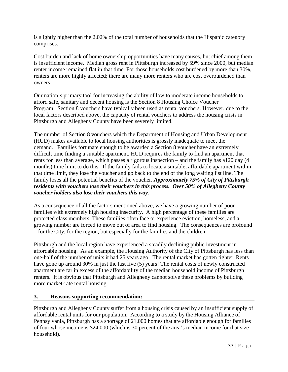is slightly higher than the 2.02% of the total number of households that the Hispanic category comprises.

Cost burden and lack of home ownership opportunities have many causes, but chief among them is insufficient income. Median gross rent in Pittsburgh increased by 59% since 2000, but median renter income remained flat in that time. For those households cost burdened by more than 30%, renters are more highly affected; there are many more renters who are cost overburdened than owners.

Our nation's primary tool for increasing the ability of low to moderate income households to afford safe, sanitary and decent housing is the Section 8 Housing Choice Voucher Program. Section 8 vouchers have typically been used as rental vouchers. However, due to the local factors described above, the capacity of rental vouchers to address the housing crisis in Pittsburgh and Allegheny County have been severely limited.

The number of Section 8 vouchers which the Department of Housing and Urban Development (HUD) makes available to local housing authorities is grossly inadequate to meet the demand. Families fortunate enough to be awarded a Section 8 voucher have an extremely difficult time finding a suitable apartment. HUD requires the family to find an apartment that rents for less than average, which passes a rigorous inspection – and the family has a120 day (4 months) time limit to do this. If the family fails to locate a suitable, affordable apartment within that time limit, they lose the voucher and go back to the end of the long waiting list line. The family loses all the potential benefits of the voucher. *Approximately 75% of City of Pittsburgh residents with vouchers lose their vouchers in this process. Over 50% of Allegheny County voucher holders also lose their vouchers this way.* 

As a consequence of all the factors mentioned above, we have a growing number of poor families with extremely high housing insecurity. A high percentage of these families are protected class members. These families often face or experience eviction, homeless, and a growing number are forced to move out of area to find housing. The consequences are profound – for the City, for the region, but especially for the families and the children.

Pittsburgh and the local region have experienced a steadily declining public investment in affordable housing. As an example, the Housing Authority of the City of Pittsburgh has less than one-half of the number of units it had 25 years ago. The rental market has gotten tighter. Rents have gone up around 30% in just the last five (5) years! The rental costs of newly constructed apartment are far in excess of the affordability of the median household income of Pittsburgh renters. It is obvious that Pittsburgh and Allegheny cannot solve these problems by building more market-rate rental housing.

#### **3. Reasons supporting recommendation:**

Pittsburgh and Allegheny County suffer from a housing crisis caused by an insufficient supply of affordable rental units for our population. According to a study by the Housing Alliance of Pennsylvania, Pittsburgh has a shortage of 21,000 homes that are affordable enough for families of four whose income is \$24,000 (which is 30 percent of the area's median income for that size household).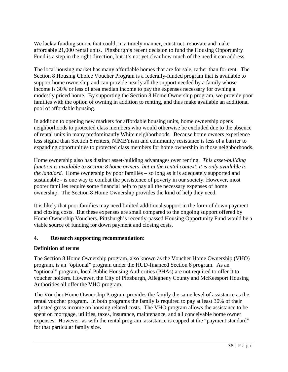We lack a funding source that could, in a timely manner, construct, renovate and make affordable 21,000 rental units. Pittsburgh's recent decision to fund the Housing Opportunity Fund is a step in the right direction, but it's not yet clear how much of the need it can address.

The local housing market has many affordable homes that are for sale, rather than for rent. The Section 8 Housing Choice Voucher Program is a federally-funded program that is available to support home ownership and can provide nearly all the support needed by a family whose income is 30% or less of area median income to pay the expenses necessary for owning a modestly priced home. By supporting the Section 8 Home Ownership program, we provide poor families with the option of owning in addition to renting, and thus make available an additional pool of affordable housing.

In addition to opening new markets for affordable housing units, home ownership opens neighborhoods to protected class members who would otherwise be excluded due to the absence of rental units in many predominantly White neighborhoods. Because home owners experience less stigma than Section 8 renters, NIMBYism and community resistance is less of a barrier to expanding opportunities to protected class members for home ownership in those neighborhoods.

Home ownership also has distinct asset-building advantages over renting. *This asset-building function is available to Section 8 home owners, but in the rental context, it is only available to the landlord.* Home ownership by poor families – so long as it is adequately supported and sustainable - is one way to combat the persistence of poverty in our society. However, most poorer families require some financial help to pay all the necessary expenses of home ownership. The Section 8 Home Ownership provides the kind of help they need.

It is likely that poor families may need limited additional support in the form of down payment and closing costs. But these expenses are small compared to the ongoing support offered by Home Ownership Vouchers. Pittsburgh's recently-passed Housing Opportunity Fund would be a viable source of funding for down payment and closing costs.

#### **4. Research supporting recommendation:**

#### **Definition of terms**

The Section 8 Home Ownership program, also known as the Voucher Home Ownership (VHO) program, is an "optional" program under the HUD-financed Section 8 program. As an "optional" program, local Public Housing Authorities (PHAs) are not required to offer it to voucher holders. However, the City of Pittsburgh, Allegheny County and McKeesport Housing Authorities all offer the VHO program.

The Voucher Home Ownership Program provides the family the same level of assistance as the rental voucher program. In both programs the family is required to pay at least 30% of their adjusted gross income on housing related costs. The VHO program allows the assistance to be spent on mortgage, utilities, taxes, insurance, maintenance, and all conceivable home owner expenses. However, as with the rental program, assistance is capped at the "payment standard" for that particular family size.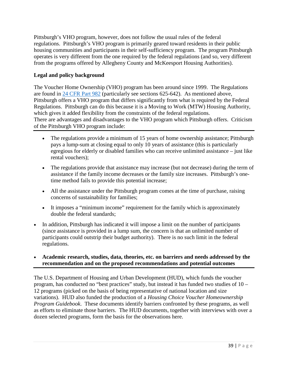Pittsburgh's VHO program, however, does not follow the usual rules of the federal regulations. Pittsburgh's VHO program is primarily geared toward residents in their public housing communities and participants in their self-sufficiency program. The program Pittsburgh operates is very different from the one required by the federal regulations (and so, very different from the programs offered by Allegheny County and McKeesport Housing Authorities).

# **Legal and policy background**

The Voucher Home Ownership (VHO) program has been around since 1999. The Regulations are found in [24 CFR Part 982](https://www.gpo.gov/fdsys/granule/CFR-2011-title24-vol4/CFR-2011-title24-vol4-sec982-625) (particularly see sections 625-642). As mentioned above, Pittsburgh offers a VHO program that differs significantly from what is required by the Federal Regulations. Pittsburgh can do this because it is a Moving to Work (MTW) Housing Authority, which gives it added flexibility from the constraints of the federal regulations. There are advantages and disadvantages to the VHO program which Pittsburgh offers. Criticism of the Pittsburgh VHO program include:

- The regulations provide a minimum of 15 years of home ownership assistance; Pittsburgh pays a lump-sum at closing equal to only 10 years of assistance (this is particularly egregious for elderly or disabled families who can receive unlimited assistance – just like rental vouchers);
- The regulations provide that assistance may increase (but not decrease) during the term of assistance if the family income decreases or the family size increases. Pittsburgh's onetime method fails to provide this potential increase;
- All the assistance under the Pittsburgh program comes at the time of purchase, raising concerns of sustainability for families;
- It imposes a "minimum income" requirement for the family which is approximately double the federal standards;
- In addition, Pittsburgh has indicated it will impose a limit on the number of participants (since assistance is provided in a lump sum, the concern is that an unlimited number of participants could outstrip their budget authority). There is no such limit in the federal regulations.

# • **Academic research, studies, data, theories, etc. on barriers and needs addressed by the recommendation and on the proposed recommendations and potential outcomes**

The U.S. Department of Housing and Urban Development (HUD), which funds the voucher program, has conducted no "best practices" study, but instead it has funded two studies of 10 – 12 programs (picked on the basis of being representative of national location and size variations). HUD also funded the production of a *Housing Choice Voucher Homeownership Program Guidebook*. These documents identify barriers confronted by these programs, as well as efforts to eliminate those barriers. The HUD documents, together with interviews with over a dozen selected programs, form the basis for the observations here.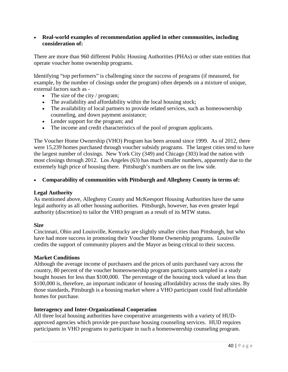#### • **Real-world examples of recommendation applied in other communities, including consideration of:**

There are more than 960 different Public Housing Authorities (PHAs) or other state entities that operate voucher home ownership programs.

Identifying "top performers" is challenging since the success of programs (if measured, for example, by the number of closings under the program) often depends on a mixture of unique, external factors such as -

- The size of the city / program;
- The availability and affordability within the local housing stock;
- The availability of local partners to provide related services, such as homeownership counseling, and down payment assistance;
- Lender support for the program; and
- The income and credit characteristics of the pool of program applicants.

The Voucher Home Ownership (VHO) Program has been around since 1999. As of 2012, there were 15,239 homes purchased through voucher subsidy programs. The largest cities tend to have the largest number of closings. New York City (349) and Chicago (303) lead the nation with most closings through 2012. Los Angeles (63) has much smaller numbers, apparently due to the extremely high price of housing there. Pittsburgh's numbers are on the low side.

#### • **Comparability of communities with Pittsburgh and Allegheny County in terms of:**

#### **Legal Authority**

As mentioned above, Allegheny County and McKeesport Housing Authorities have the same legal authority as all other housing authorities. Pittsburgh, however, has even greater legal authority (discretion) to tailor the VHO program as a result of its MTW status.

#### **Size**

Cincinnati, Ohio and Louisville, Kentucky are slightly smaller cities than Pittsburgh, but who have had more success in promoting their Voucher Home Ownership programs. Louisville credits the support of community players and the Mayor as being critical to their success.

#### **Market Conditions**

Although the average income of purchasers and the prices of units purchased vary across the country, 80 percent of the voucher homeownership program participants sampled in a study bought houses for less than \$100,000. The percentage of the housing stock valued at less than \$100,000 is, therefore, an important indicator of housing affordability across the study sites. By those standards, Pittsburgh is a housing market where a VHO participant could find affordable homes for purchase.

#### **Interagency and Inter-Organizational Cooperation**

All three local housing authorities have cooperative arrangements with a variety of HUDapproved agencies which provide pre-purchase housing counseling services. HUD requires participants in VHO programs to participate in such a homeownership counseling program.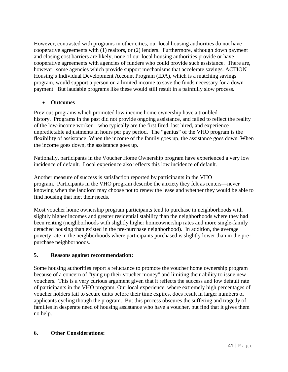However, contrasted with programs in other cities, our local housing authorities do not have cooperative agreements with (1) realtors, or (2) lenders. Furthermore, although down payment and closing cost barriers are likely, none of our local housing authorities provide or have cooperative agreements with agencies of funders who could provide such assistance. There are, however, some agencies which provide support mechanisms that accelerate savings. ACTION Housing's Individual Development Account Program (IDA), which is a matching savings program, would support a person on a limited income to save the funds necessary for a down payment. But laudable programs like these would still result in a painfully slow process.

# • **Outcomes**

Previous programs which promoted low income home ownership have a troubled history. Programs in the past did not provide ongoing assistance, and failed to reflect the reality of the low-income worker – who typically are the first fired, last hired, and experience unpredictable adjustments in hours per pay period. The "genius" of the VHO program is the flexibility of assistance. When the income of the family goes up, the assistance goes down. When the income goes down, the assistance goes up.

Nationally, participants in the Voucher Home Ownership program have experienced a very low incidence of default. Local experience also reflects this low incidence of default.

Another measure of success is satisfaction reported by participants in the VHO program. Participants in the VHO program describe the anxiety they felt as renters—never knowing when the landlord may choose not to renew the lease and whether they would be able to find housing that met their needs.

Most voucher home ownership program participants tend to purchase in neighborhoods with slightly higher incomes and greater residential stability than the neighborhoods where they had been renting (neighborhoods with slightly higher homeownership rates and more single-family detached housing than existed in the pre-purchase neighborhood). In addition, the average poverty rate in the neighborhoods where participants purchased is slightly lower than in the prepurchase neighborhoods.

# **5. Reasons against recommendation:**

Some housing authorities report a reluctance to promote the voucher home ownership program because of a concern of "tying up their voucher money" and limiting their ability to issue new vouchers. This is a very curious argument given that it reflects the success and low default rate of participants in the VHO program. Our local experience, where extremely high percentages of voucher holders fail to secure units before their time expires, does result in larger numbers of applicants cycling though the program. But this process obscures the suffering and tragedy of families in desperate need of housing assistance who have a voucher, but find that it gives them no help.

#### **6. Other Considerations:**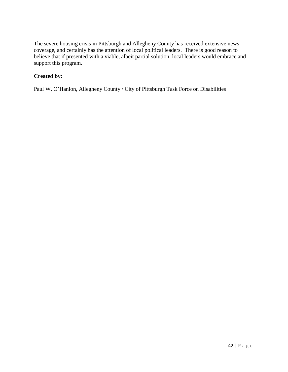The severe housing crisis in Pittsburgh and Allegheny County has received extensive news coverage, and certainly has the attention of local political leaders. There is good reason to believe that if presented with a viable, albeit partial solution, local leaders would embrace and support this program.

# **Created by:**

Paul W. O'Hanlon, Allegheny County / City of Pittsburgh Task Force on Disabilities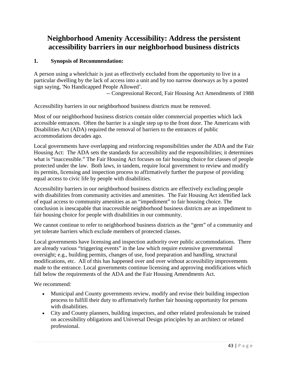# **Neighborhood Amenity Accessibility: Address the persistent accessibility barriers in our neighborhood business districts**

# **1. Synopsis of Recommendation:**

A person using a wheelchair is just as effectively excluded from the opportunity to live in a particular dwelling by the lack of access into a unit and by too narrow doorways as by a posted sign saying, 'No Handicapped People Allowed'.

-- Congressional Record, Fair Housing Act Amendments of 1988

Accessibility barriers in our neighborhood business districts must be removed.

Most of our neighborhood business districts contain older commercial properties which lack accessible entrances. Often the barrier is a single step up to the front door. The Americans with Disabilities Act (ADA) required the removal of barriers to the entrances of public accommodations decades ago.

Local governments have overlapping and reinforcing responsibilities under the ADA and the Fair Housing Act: The ADA sets the standards for accessibility and the responsibilities; it determines what is "inaccessible." The Fair Housing Act focuses on fair housing choice for classes of people protected under the law. Both laws, in tandem, require local government to review and modify its permits, licensing and inspection process to affirmatively further the purpose of providing equal access to civic life by people with disabilities.

Accessibility barriers in our neighborhood business districts are effectively excluding people with disabilities from community activities and amenities. The Fair Housing Act identified lack of equal access to community amenities as an "impediment" to fair housing choice. The conclusion is inescapable that inaccessible neighborhood business districts are an impediment to fair housing choice for people with disabilities in our community.

We cannot continue to refer to neighborhood business districts as the "gem" of a community and yet tolerate barriers which exclude members of protected classes.

Local governments have licensing and inspection authority over public accommodations. There are already various "triggering events" in the law which require extensive governmental oversight; e.g., building permits, changes of use, food preparation and handling, structural modifications, etc. All of this has happened over and over without accessibility improvements made to the entrance. Local governments continue licensing and approving modifications which fall below the requirements of the ADA and the Fair Housing Amendments Act.

We recommend:

- Municipal and County governments review, modify and revise their building inspection process to fulfill their duty to affirmatively further fair housing opportunity for persons with disabilities.
- City and County planners, building inspectors, and other related professionals be trained on accessibility obligations and Universal Design principles by an architect or related professional.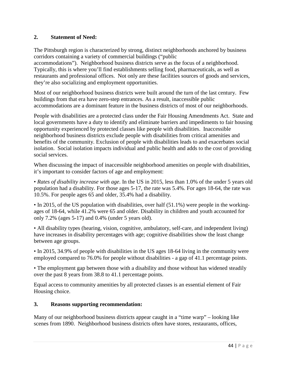# **2. Statement of Need:**

The Pittsburgh region is characterized by strong, distinct neighborhoods anchored by business corridors containing a variety of commercial buildings ("public accommodations"). Neighborhood business districts serve as the focus of a neighborhood. Typically, this is where you'll find establishments selling food, pharmaceuticals, as well as

restaurants and professional offices. Not only are these facilities sources of goods and services, they're also socializing and employment opportunities.

Most of our neighborhood business districts were built around the turn of the last century. Few buildings from that era have zero-step entrances. As a result, inaccessible public accommodations are a dominant feature in the business districts of most of our neighborhoods.

People with disabilities are a protected class under the Fair Housing Amendments Act. State and local governments have a duty to identify and eliminate barriers and impediments to fair housing opportunity experienced by protected classes like people with disabilities. Inaccessible neighborhood business districts exclude people with disabilities from critical amenities and benefits of the community. Exclusion of people with disabilities leads to and exacerbates social isolation. Social isolation impacts individual and public health and adds to the cost of providing social services.

When discussing the impact of inaccessible neighborhood amenities on people with disabilities, it's important to consider factors of age and employment:

• *Rates of disability increase with age*. In the US in 2015, less than 1.0% of the under 5 years old population had a disability. For those ages 5-17, the rate was 5.4%. For ages 18-64, the rate was 10.5%. For people ages 65 and older, 35.4% had a disability.

• In 2015, of the US population with disabilities, over half (51.1%) were people in the workingages of 18-64, while 41.2% were 65 and older. Disability in children and youth accounted for only 7.2% (ages 5-17) and 0.4% (under 5 years old).

• All disability types (hearing, vision, cognitive, ambulatory, self-care, and independent living) have increases in disability percentages with age; cognitive disabilities show the least change between age groups.

• In 2015, 34.9% of people with disabilities in the US ages 18-64 living in the community were employed compared to 76.0% for people without disabilities - a gap of 41.1 percentage points.

• The employment gap between those with a disability and those without has widened steadily over the past 8 years from 38.8 to 41.1 percentage points.

Equal access to community amenities by all protected classes is an essential element of Fair Housing choice.

#### **3. Reasons supporting recommendation:**

Many of our neighborhood business districts appear caught in a "time warp" – looking like scenes from 1890. Neighborhood business districts often have stores, restaurants, offices,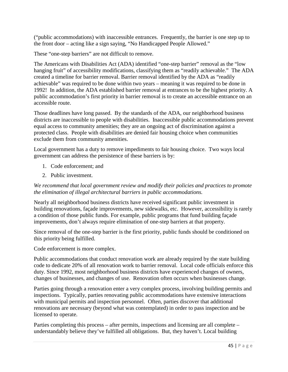("public accommodations) with inaccessible entrances. Frequently, the barrier is one step up to the front door – acting like a sign saying, "No Handicapped People Allowed."

These "one-step barriers" are not difficult to remove.

The Americans with Disabilities Act (ADA) identified "one-step barrier" removal as the "low hanging fruit" of accessibility modifications, classifying them as "readily achievable." The ADA created a timeline for barrier removal. Barrier removal identified by the ADA as "readily achievable" was required to be done within two years – meaning it was required to be done in 1992! In addition, the ADA established barrier removal at entrances to be the highest priority. A public accommodation's first priority in barrier removal is to create an accessible entrance on an accessible route.

Those deadlines have long passed. By the standards of the ADA, our neighborhood business districts are inaccessible to people with disabilities. Inaccessible public accommodations prevent equal access to community amenities; they are an ongoing act of discrimination against a protected class. People with disabilities are denied fair housing choice when communities exclude them from community amenities.

Local government has a duty to remove impediments to fair housing choice. Two ways local government can address the persistence of these barriers is by:

- 1. Code enforcement; and
- 2. Public investment.

#### *We recommend that local government review and modify their policies and practices to promote the elimination of illegal architectural barriers in public accommodations.*

Nearly all neighborhood business districts have received significant public investment in building renovations, façade improvements, new sidewalks, etc. However, accessibility is rarely a condition of those public funds. For example, public programs that fund building façade improvements, don't always require elimination of one-step barriers at that property.

Since removal of the one-step barrier is the first priority, public funds should be conditioned on this priority being fulfilled.

Code enforcement is more complex.

Public accommodations that conduct renovation work are already required by the state building code to dedicate 20% of all renovation work to barrier removal. Local code officials enforce this duty. Since 1992, most neighborhood business districts have experienced changes of owners, changes of businesses, and changes of use. Renovation often occurs when businesses change.

Parties going through a renovation enter a very complex process, involving building permits and inspections. Typically, parties renovating public accommodations have extensive interactions with municipal permits and inspection personnel. Often, parties discover that additional renovations are necessary (beyond what was contemplated) in order to pass inspection and be licensed to operate.

Parties completing this process – after permits, inspections and licensing are all complete – understandably believe they've fulfilled all obligations. But, they haven't. Local building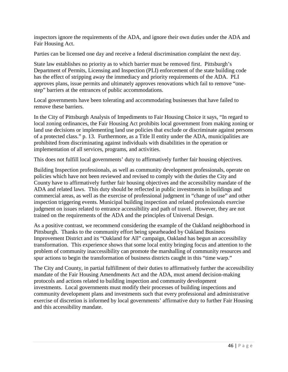inspectors ignore the requirements of the ADA, and ignore their own duties under the ADA and Fair Housing Act.

Parties can be licensed one day and receive a federal discrimination complaint the next day.

State law establishes no priority as to which barrier must be removed first. Pittsburgh's Department of Permits, Licensing and Inspection (PLI) enforcement of the state building code has the effect of stripping away the immediacy and priority requirements of the ADA. PLI approves plans, issue permits and ultimately approves renovations which fail to remove "onestep" barriers at the entrances of public accommodations.

Local governments have been tolerating and accommodating businesses that have failed to remove these barriers.

In the City of Pittsburgh Analysis of Impediments to Fair Housing Choice it says, "In regard to local zoning ordinances, the Fair Housing Act prohibits local government from making zoning or land use decisions or implementing land use policies that exclude or discriminate against persons of a protected class." p. 13. Furthermore, as a Title II entity under the ADA, municipalities are prohibited from discriminating against individuals with disabilities in the operation or implementation of all services, programs, and activities.

This does not fulfill local governments' duty to affirmatively further fair housing objectives.

Building Inspection professionals, as well as community development professionals, operate on policies which have not been reviewed and revised to comply with the duties the City and County have to affirmatively further fair housing objectives and the accessibility mandate of the ADA and related laws. This duty should be reflected in public investments in buildings and commercial areas, as well as the exercise of professional judgment in "change of use" and other inspection triggering events. Municipal building inspection and related professionals exercise judgment on issues related to entrance accessibility and path of travel. However, they are not trained on the requirements of the ADA and the principles of Universal Design.

As a positive contrast, we recommend considering the example of the Oakland neighborhood in Pittsburgh. Thanks to the community effort being spearheaded by Oakland Business Improvement District and its "Oakland for All" campaign, Oakland has begun an accessibility transformation. This experience shows that some local entity bringing focus and attention to the problem of community inaccessibility can promote the marshalling of community resources and spur actions to begin the transformation of business districts caught in this "time warp."

The City and County, in partial fulfillment of their duties to affirmatively further the accessibility mandate of the Fair Housing Amendments Act and the ADA, must amend decision-making protocols and actions related to building inspection and community development investments. Local governments must modify their processes of building inspections and community development plans and investments such that every professional and administrative exercise of discretion is informed by local governments' affirmative duty to further Fair Housing and this accessibility mandate.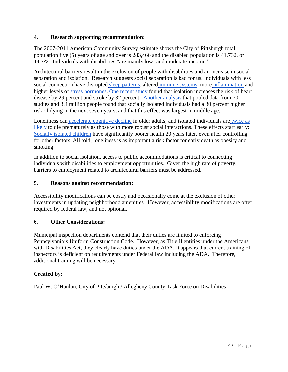#### **4. Research supporting recommendation:**

The 2007-2011 American Community Survey estimate shows the City of Pittsburgh total population five (5) years of age and over is 283,466 and the disabled population is 41,732, or 14.7%. Individuals with disabilities "are mainly low- and moderate-income."

Architectural barriers result in the exclusion of people with disabilities and an increase in social separation and isolation. Research suggests social separation is bad for us. Individuals with less social connection have disrupted [sleep patterns,](http://www.sciencedirect.com/science/article/pii/S0277953612000275) altered [immune systems,](https://www.washingtonpost.com/national/health-science/loneliness-grows-from-individual-ache-to-public-health-hazard/2016/01/31/cf246c56-ba20-11e5-99f3-184bc379b12d_story.html) more [inflammation](http://www.pnas.org/content/early/2016/01/02/1511085112.abstract) and higher levels of [stress hormones.](https://static1.squarespace.com/static/531897cde4b0fa5080a9b19e/t/555601d9e4b0849a888ed857/1431699929973/toward-a-neurology-of-loneliness.pdf) [One recent study](http://heart.bmj.com/content/102/13/1009) found that isolation increases the risk of heart disease by 29 percent and stroke by 32 percent. [Another analysis](http://pps.sagepub.com/content/10/2/227.full) that pooled data from 70 studies and 3.4 million people found that socially isolated individuals had a 30 percent higher risk of dying in the next seven years, and that this effect was largest in middle age.

Loneliness can [accelerate cognitive decline](https://docs.google.com/document/d/1gvE5N4kQS5zGQj_Uyz8NlXaYggrAUbOVnjD_uxObtIM/edit?ts=5cbf2f27#bookmark=id.3znysh7) in older adults, and isolated individuals are [twice as](http://www.plosmedicine.org/article/info%3Adoi%2F10.1371%2Fjournal.pmed.1000316)  [likely](http://www.plosmedicine.org/article/info%3Adoi%2F10.1371%2Fjournal.pmed.1000316) to die prematurely as those with more robust social interactions. These effects start early[:](http://jamanetwork.com/journals/jamapediatrics/fullarticle/205331) [Socially isolated children](http://jamanetwork.com/journals/jamapediatrics/fullarticle/205331) have significantly poorer health 20 years later, even after controlling for other factors. All told, loneliness is as important a risk factor for early death as obesity and smoking.

In addition to social isolation, access to public accommodations is critical to connecting individuals with disabilities to employment opportunities. Given the high rate of poverty, barriers to employment related to architectural barriers must be addressed.

#### **5. Reasons against recommendation:**

Accessibility modifications can be costly and occasionally come at the exclusion of other investments in updating neighborhood amenities. However, accessibility modifications are often required by federal law, and not optional.

#### **6. Other Considerations:**

Municipal inspection departments contend that their duties are limited to enforcing Pennsylvania's Uniform Construction Code. However, as Title II entities under the Americans with Disabilities Act, they clearly have duties under the ADA. It appears that current training of inspectors is deficient on requirements under Federal law including the ADA. Therefore, additional training will be necessary.

#### **Created by:**

Paul W. O'Hanlon, City of Pittsburgh / Allegheny County Task Force on Disabilities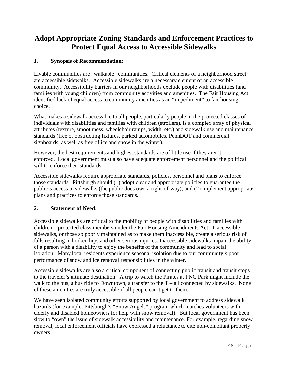# **Adopt Appropriate Zoning Standards and Enforcement Practices to Protect Equal Access to Accessible Sidewalks**

# **1. Synopsis of Recommendation:**

Livable communities are "walkable" communities. Critical elements of a neighborhood street are accessible sidewalks. Accessible sidewalks are a necessary element of an accessible community. Accessibility barriers in our neighborhoods exclude people with disabilities (and families with young children) from community activities and amenities. The Fair Housing Act identified lack of equal access to community amenities as an "impediment" to fair housing choice.

What makes a sidewalk accessible to all people, particularly people in the protected classes of individuals with disabilities and families with children (strollers), is a complex array of physical attributes (texture, smoothness, wheelchair ramps, width, etc.) and sidewalk use and maintenance standards (free of obstructing fixtures, parked automobiles, PennDOT and commercial signboards, as well as free of ice and snow in the winter).

However, the best requirements and highest standards are of little use if they aren't enforced. Local government must also have adequate enforcement personnel and the political will to enforce their standards.

Accessible sidewalks require appropriate standards, policies, personnel and plans to enforce those standards. Pittsburgh should (1) adopt clear and appropriate policies to guarantee the public's access to sidewalks (the public does own a right-of-way); and (2) implement appropriate plans and practices to enforce those standards.

# **2. Statement of Need:**

Accessible sidewalks are critical to the mobility of people with disabilities and families with children – protected class members under the Fair Housing Amendments Act. Inaccessible sidewalks, or those so poorly maintained as to make them inaccessible, create a serious risk of falls resulting in broken hips and other serious injuries. Inaccessible sidewalks impair the ability of a person with a disability to enjoy the benefits of the community and lead to social isolation. Many local residents experience seasonal isolation due to our community's poor performance of snow and ice removal responsibilities in the winter.

Accessible sidewalks are also a critical component of connecting public transit and transit stops to the traveler's ultimate destination. A trip to watch the Pirates at PNC Park might include the walk to the bus, a bus ride to Downtown, a transfer to the  $T -$  all connected by sidewalks. None of these amenities are truly accessible if all people can't get to them.

We have seen isolated community efforts supported by local government to address sidewalk hazards (for example, Pittsburgh's "Snow Angels" program which matches volunteers with elderly and disabled homeowners for help with snow removal). But local government has been slow to "own" the issue of sidewalk accessibility and maintenance. For example, regarding snow removal, local enforcement officials have expressed a reluctance to cite non-compliant property owners.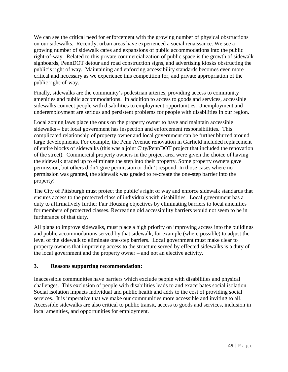We can see the critical need for enforcement with the growing number of physical obstructions on our sidewalks. Recently, urban areas have experienced a social renaissance. We see a growing number of sidewalk cafes and expansions of public accommodations into the public right-of-way. Related to this private commercialization of public space is the growth of sidewalk signboards, PennDOT detour and road construction signs, and advertising kiosks obstructing the public's right of way. Maintaining and enforcing accessibility standards becomes even more critical and necessary as we experience this competition for, and private appropriation of the public right-of-way.

Finally, sidewalks are the community's pedestrian arteries, providing access to community amenities and public accommodations. In addition to access to goods and services, accessible sidewalks connect people with disabilities to employment opportunities. Unemployment and underemployment are serious and persistent problems for people with disabilities in our region.

Local zoning laws place the onus on the property owner to have and maintain accessible sidewalks – but local government has inspection and enforcement responsibilities. This complicated relationship of property owner and local government can be further blurred around large developments. For example, the Penn Avenue renovation in Garfield included replacement of entire blocks of sidewalks (this was a joint City/PennDOT project that included the renovation of the street). Commercial property owners in the project area were given the choice of having the sidewalk graded up to eliminate the step into their property. Some property owners gave permission, but others didn't give permission or didn't respond. In those cases where no permission was granted, the sidewalk was graded to re-create the one-step barrier into the property!

The City of Pittsburgh must protect the public's right of way and enforce sidewalk standards that ensures access to the protected class of individuals with disabilities. Local government has a duty to affirmatively further Fair Housing objectives by eliminating barriers to local amenities for members of protected classes. Recreating old accessibility barriers would not seem to be in furtherance of that duty.

All plans to improve sidewalks, must place a high priority on improving access into the buildings and public accommodations served by that sidewalk, for example (where possible) to adjust the level of the sidewalk to eliminate one-step barriers. Local government must make clear to property owners that improving access to the structure served by effected sidewalks is a duty of the local government and the property owner – and not an elective activity.

# **3. Reasons supporting recommendation:**

Inaccessible communities have barriers which exclude people with disabilities and physical challenges. This exclusion of people with disabilities leads to and exacerbates social isolation. Social isolation impacts individual and public health and adds to the cost of providing social services. It is imperative that we make our communities more accessible and inviting to all. Accessible sidewalks are also critical to public transit, access to goods and services, inclusion in local amenities, and opportunities for employment.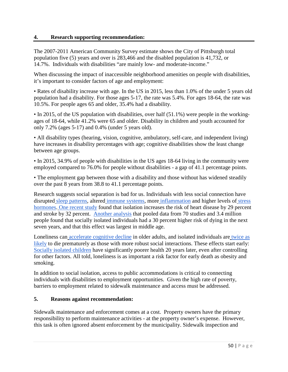#### **4. Research supporting recommendation:**

The 2007-2011 American Community Survey estimate shows the City of Pittsburgh total population five (5) years and over is 283,466 and the disabled population is 41,732, or 14.7%. Individuals with disabilities "are mainly low- and moderate-income."

When discussing the impact of inaccessible neighborhood amenities on people with disabilities, it's important to consider factors of age and employment:

• Rates of disability increase with age. In the US in 2015, less than 1.0% of the under 5 years old population had a disability. For those ages 5-17, the rate was 5.4%. For ages 18-64, the rate was 10.5%. For people ages 65 and older, 35.4% had a disability.

• In 2015, of the US population with disabilities, over half (51.1%) were people in the workingages of 18-64, while 41.2% were 65 and older. Disability in children and youth accounted for only 7.2% (ages 5-17) and 0.4% (under 5 years old).

• All disability types (hearing, vision, cognitive, ambulatory, self-care, and independent living) have increases in disability percentages with age; cognitive disabilities show the least change between age groups.

• In 2015, 34.9% of people with disabilities in the US ages 18-64 living in the community were employed compared to 76.0% for people without disabilities - a gap of 41.1 percentage points.

• The employment gap between those with a disability and those without has widened steadily over the past 8 years from 38.8 to 41.1 percentage points.

Research suggests social separation is bad for us. Individuals with less social connection have disrupted [sleep patterns,](http://www.sciencedirect.com/science/article/pii/S0277953612000275) altered [immune systems,](https://www.washingtonpost.com/national/health-science/loneliness-grows-from-individual-ache-to-public-health-hazard/2016/01/31/cf246c56-ba20-11e5-99f3-184bc379b12d_story.html) more [inflammation](http://www.pnas.org/content/early/2016/01/02/1511085112.abstract) and higher levels of stress [hormones.](https://static1.squarespace.com/static/531897cde4b0fa5080a9b19e/t/555601d9e4b0849a888ed857/1431699929973/toward-a-neurology-of-loneliness.pdf) [One recent study](http://heart.bmj.com/content/102/13/1009) found that isolation increases the risk of heart disease by 29 percent and stroke by 32 percent. [Another analysis](http://pps.sagepub.com/content/10/2/227.full) that pooled data from 70 studies and 3.4 million people found that socially isolated individuals had a 30 percent higher risk of dying in the next seven years, and that this effect was largest in middle age.

Loneliness can [accelerate cognitive decline](http://www.forbes.com/sites/daviddisalvo/2015/07/24/loneliness-is-a-mind-killer-study-shows-link-with-rapid-cognitive-decline-in-older-adults/#9a305f4c37df) in older adults, and isolated individuals are twice as [likely](http://www.plosmedicine.org/article/info%3Adoi%2F10.1371%2Fjournal.pmed.1000316) to die prematurely as those with more robust social interactions. These effects start early[:](http://jamanetwork.com/journals/jamapediatrics/fullarticle/205331) [Socially isolated children](http://jamanetwork.com/journals/jamapediatrics/fullarticle/205331) have significantly poorer health 20 years later, even after controlling for other factors. All told, loneliness is as important a risk factor for early death as obesity and smoking.

In addition to social isolation, access to public accommodations is critical to connecting individuals with disabilities to employment opportunities. Given the high rate of poverty, barriers to employment related to sidewalk maintenance and access must be addressed.

#### **5. Reasons against recommendation:**

Sidewalk maintenance and enforcement comes at a cost. Property owners have the primary responsibility to perform maintenance activities - at the property owner's expense. However, this task is often ignored absent enforcement by the municipality. Sidewalk inspection and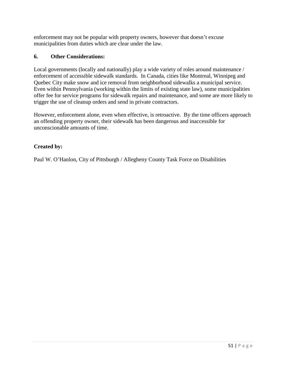enforcement may not be popular with property owners, however that doesn't excuse municipalities from duties which are clear under the law.

# **6. Other Considerations:**

Local governments (locally and nationally) play a wide variety of roles around maintenance / enforcement of accessible sidewalk standards. In Canada, cities like Montreal, Winnipeg and Quebec City make snow and ice removal from neighborhood sidewalks a municipal service. Even within Pennsylvania (working within the limits of existing state law), some municipalities offer fee for service programs for sidewalk repairs and maintenance, and some are more likely to trigger the use of cleanup orders and send in private contractors.

However, enforcement alone, even when effective, is retroactive. By the time officers approach an offending property owner, their sidewalk has been dangerous and inaccessible for unconscionable amounts of time.

# **Created by:**

Paul W. O'Hanlon, City of Pittsburgh / Allegheny County Task Force on Disabilities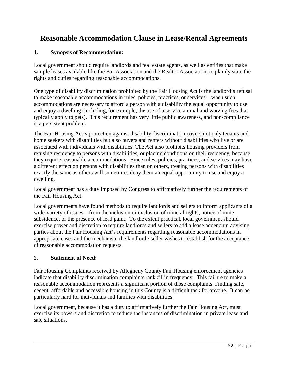# **Reasonable Accommodation Clause in Lease/Rental Agreements**

# **1. Synopsis of Recommendation:**

Local government should require landlords and real estate agents, as well as entities that make sample leases available like the Bar Association and the Realtor Association, to plainly state the rights and duties regarding reasonable accommodations.

One type of disability discrimination prohibited by the Fair Housing Act is the landlord's refusal to make reasonable accommodations in rules, policies, practices, or services – when such accommodations are necessary to afford a person with a disability the equal opportunity to use and enjoy a dwelling (including, for example, the use of a service animal and waiving fees that typically apply to pets). This requirement has very little public awareness, and non-compliance is a persistent problem.

The Fair Housing Act's protection against disability discrimination covers not only tenants and home seekers with disabilities but also buyers and renters without disabilities who live or are associated with individuals with disabilities. The Act also prohibits housing providers from refusing residency to persons with disabilities, or placing conditions on their residency, because they require reasonable accommodations. Since rules, policies, practices, and services may have a different effect on persons with disabilities than on others, treating persons with disabilities exactly the same as others will sometimes deny them an equal opportunity to use and enjoy a dwelling.

Local government has a duty imposed by Congress to affirmatively further the requirements of the Fair Housing Act.

Local governments have found methods to require landlords and sellers to inform applicants of a wide-variety of issues – from the inclusion or exclusion of mineral rights, notice of mine subsidence, or the presence of lead paint. To the extent practical, local government should exercise power and discretion to require landlords and sellers to add a lease addendum advising parties about the Fair Housing Act's requirements regarding reasonable accommodations in appropriate cases and the mechanism the landlord / seller wishes to establish for the acceptance of reasonable accommodation requests.

# **2. Statement of Need:**

Fair Housing Complaints received by Allegheny County Fair Housing enforcement agencies indicate that disability discrimination complaints rank #1 in frequency. This failure to make a reasonable accommodation represents a significant portion of those complaints. Finding safe, decent, affordable and accessible housing in this County is a difficult task for anyone. It can be particularly hard for individuals and families with disabilities.

Local government, because it has a duty to affirmatively further the Fair Housing Act, must exercise its powers and discretion to reduce the instances of discrimination in private lease and sale situations.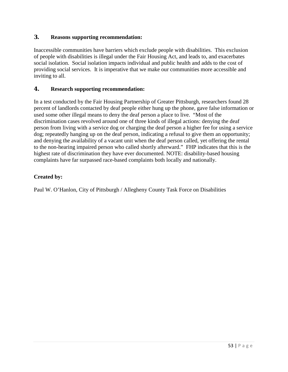#### **3. Reasons supporting recommendation:**

Inaccessible communities have barriers which exclude people with disabilities. This exclusion of people with disabilities is illegal under the Fair Housing Act, and leads to, and exacerbates social isolation. Social isolation impacts individual and public health and adds to the cost of providing social services. It is imperative that we make our communities more accessible and inviting to all.

### **4. Research supporting recommendation:**

In a test conducted by the Fair Housing Partnership of Greater Pittsburgh, researchers found 28 percent of landlords contacted by deaf people either hung up the phone, gave false information or used some other illegal means to deny the deaf person a place to live. "Most of the discrimination cases revolved around one of three kinds of illegal actions: denying the deaf person from living with a service dog or charging the deaf person a higher fee for using a service dog; repeatedly hanging up on the deaf person, indicating a refusal to give them an opportunity; and denying the availability of a vacant unit when the deaf person called, yet offering the rental to the non-hearing impaired person who called shortly afterward." FHP indicates that this is the highest rate of discrimination they have ever documented. NOTE: disability-based housing complaints have far surpassed race-based complaints both locally and nationally.

# **Created by:**

Paul W. O'Hanlon, City of Pittsburgh / Allegheny County Task Force on Disabilities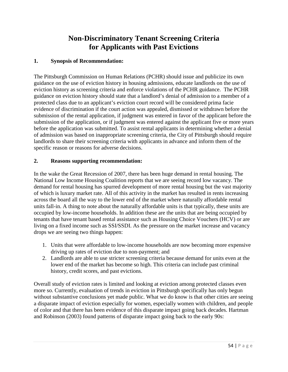# **Non-Discriminatory Tenant Screening Criteria for Applicants with Past Evictions**

# **1. Synopsis of Recommendation:**

The Pittsburgh Commission on Human Relations (PCHR) should issue and publicize its own guidance on the use of eviction history in housing admissions, educate landlords on the use of eviction history as screening criteria and enforce violations of the PCHR guidance. The PCHR guidance on eviction history should state that a landlord's denial of admission to a member of a protected class due to an applicant's eviction court record will be considered prima facie evidence of discrimination if the court action was appealed, dismissed or withdrawn before the submission of the rental application, if judgment was entered in favor of the applicant before the submission of the application, or if judgment was entered against the applicant five or more years before the application was submitted. To assist rental applicants in determining whether a denial of admission was based on inappropriate screening criteria, the City of Pittsburgh should require landlords to share their screening criteria with applicants in advance and inform them of the specific reason or reasons for adverse decisions.

# **2. Reasons supporting recommendation:**

In the wake the Great Recession of 2007, there has been huge demand in rental housing. The National Low Income Housing Coalition reports that we are seeing record low vacancy. The demand for rental housing has spurred development of more rental housing but the vast majority of which is luxury market rate. All of this activity in the market has resulted in rents increasing across the board all the way to the lower end of the market where naturally affordable rental units fall-in. A thing to note about the naturally affordable units is that typically, these units are occupied by low-income households. In addition these are the units that are being occupied by tenants that have tenant based rental assistance such as Housing Choice Vouchers (HCV) or are living on a fixed income such as SSI/SSDI. As the pressure on the market increase and vacancy drops we are seeing two things happen:

- 1. Units that were affordable to low-income households are now becoming more expensive driving up rates of eviction due to non-payment; and
- 2. Landlords are able to use stricter screening criteria because demand for units even at the lower end of the market has become so high. This criteria can include past criminal history, credit scores, and past evictions.

Overall study of eviction rates is limited and looking at eviction among protected classes even more so. Currently, evaluation of trends in eviction in Pittsburgh specifically has only begun without substantive conclusions yet made public. What we do know is that other cities are seeing a disparate impact of eviction especially for women, especially women with children, and people of color and that there has been evidence of this disparate impact going back decades. Hartman and Robinson (2003) found patterns of disparate impact going back to the early 90s: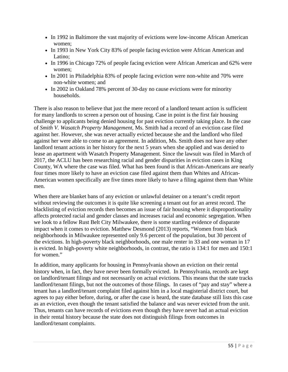- In 1992 in Baltimore the vast majority of evictions were low-income African American women;
- In 1993 in New York City 83% of people facing eviction were African American and Latino;
- In 1996 in Chicago 72% of people facing eviction were African American and 62% were women;
- In 2001 in Philadelphia 83% of people facing eviction were non-white and 70% were non-white women; and
- In 2002 in Oakland 78% percent of 30-day no cause evictions were for minority households.

There is also reason to believe that just the mere record of a landlord tenant action is sufficient for many landlords to screen a person out of housing. Case in point is the first fair housing challenge to applicants being denied housing for past eviction currently taking place. In the case of *Smith V. Wasatch Property Management*, Ms. Smith had a record of an eviction case filed against her. However, she was never actually evicted because she and the landlord who filed against her were able to come to an agreement. In addition, Ms. Smith does not have any other landlord tenant actions in her history for the next 5 years when she applied and was denied to lease an apartment with Wasatch Property Management. Since the lawsuit was filed in March of 2017, the ACLU has been researching racial and gender disparities in eviction cases in King County, WA where the case was filed. What has been found is that African-Americans are nearly four times more likely to have an eviction case filed against them than Whites and African-American women specifically are five times more likely to have a filing against them than White men.

When there are blanket bans of any eviction or unlawful detainer on a tenant's credit report without reviewing the outcomes it is quite like screening a tenant out for an arrest record. The blacklisting of eviction records then becomes an issue of fair housing where it disproportionality affects protected racial and gender classes and increases racial and economic segregation. When we look to a fellow Rust Belt City Milwaukee, there is some startling evidence of disparate impact when it comes to eviction. Matthew Desmond (2013) reports, "Women from black neighborhoods in Milwaukee represented only 9.6 percent of the population, but 30 percent of the evictions. In high-poverty black neighborhoods, one male renter in 33 and one woman in 17 is evicted. In high-poverty white neighborhoods, in contrast, the ratio is 134:1 for men and 150:1 for women."

In addition, many applicants for housing in Pennsylvania shown an eviction on their rental history when, in fact, they have never been formally evicted. In Pennsylvania, records are kept on landlord/tenant filings and not necessarily on actual evictions. This means that the state tracks landlord/tenant filings, but not the outcomes of those filings. In cases of "pay and stay" where a tenant has a landlord/tenant complaint filed against him in a local magisterial district court, but agrees to pay either before, during, or after the case is heard, the state database still lists this case as an eviction, even though the tenant satisfied the balance and was never evicted from the unit. Thus, tenants can have records of evictions even though they have never had an actual eviction in their rental history because the state does not distinguish filings from outcomes in landlord/tenant complaints.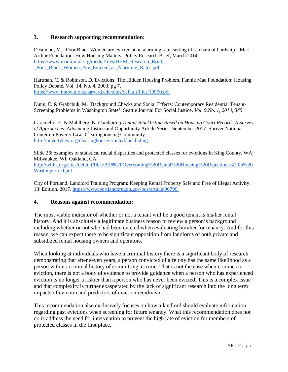#### **3. Research supporting recommendation:**

Desmond, M. "Poor Black Women are evicted at an alarming rate, setting off a chain of hardship." Mac Arthur Foundation: How Housing Matters- Policy Research Brief, March 2014. [https://www.macfound.org/media/files/HHM\\_Research\\_Brief\\_-](https://www.macfound.org/media/files/HHM_Research_Brief_-_Poor_Black_Women_Are_Evicted_at_Alarming_Rates.pdf) [\\_Poor\\_Black\\_Women\\_Are\\_Evicted\\_at\\_Alarming\\_Rates.pdf](https://www.macfound.org/media/files/HHM_Research_Brief_-_Poor_Black_Women_Are_Evicted_at_Alarming_Rates.pdf)

Hartman, C. & Robinson, D. Evictions: The Hidden Housing Problem. Fannie Mae Foundation: Housing Policy Debate, Vol. 14, No. 4, 2003, pg 7. <https://www.innovations.harvard.edu/sites/default/files/10950.pdf>

Dunn, E. & Grabchuk, M. 'Background Checks and Social Effects: Contemporary Residential Tenant-Screening Problems in Washington State'. Seattle Journal For Social Justice. *Vol. 9,No. 1, 2010, 345*

Caramello, E. & Mahlberg, N. *Combating Tenant Blacklisting Based on Housing Court Records A Survey of Approaches*. Advancing Justice and Opportunity Article Series: September 2017. Shriver National Center on Poverty Law: Clearinghousing Community <http://povertylaw.org/clearinghouse/article/blacklisting>

Slide 26: examples of statistical racial disparities and protected classes for evictions In King County, WA; Milwaukee, WI; Oakland, CA; [http://wliha.org/sites/default/files/A16%20Overcoming%20Rental%20Housing%20Rejections%20in%20](http://wliha.org/sites/default/files/A16%20Overcoming%20Rental%20Housing%20Rejections%20in%20Washington_0.pdf) [Washington\\_0.pdf](http://wliha.org/sites/default/files/A16%20Overcoming%20Rental%20Housing%20Rejections%20in%20Washington_0.pdf)

City of Portland. Landlord Training Program: Keeping Rental Property Safe and Free of Illegal Activity. 18<sup>th</sup> Edition. 2017.<https://www.portlandoregon.gov/bds/article/96790>

#### **4. Reasons against recommendation:**

The most viable indicator of whether or not a tenant will be a good tenant is his/her rental history. And it is absolutely a legitimate business reason to review a person's background including whether or not s/he had been evicted when evaluating him/her for tenancy. And for this reason, we can expect there to be significant opposition from landlords of both private and subsidized rental housing owners and operators.

When looking at individuals who have a criminal history there is a significant body of research demonstrating that after seven years, a person convicted of a felony has the same likelihood as a person with no criminal history of committing a crime. That is not the case when it comes to eviction, there is not a body of evidence to provide guidance when a person who has experienced eviction is no longer a riskier than a person who has never been evicted. This is a complex issue and that complexity is further exasperated by the lack of significant research into the long term impacts of eviction and predictors of eviction recidivism.

This recommendation also exclusively focuses on how a landlord should evaluate information regarding past evictions when screening for future tenancy. What this recommendation does not do is address the need for intervention to prevent the high rate of eviction for members of protected classes in the first place.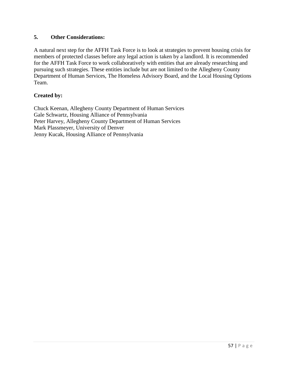#### **5. Other Considerations:**

A natural next step for the AFFH Task Force is to look at strategies to prevent housing crisis for members of protected classes before any legal action is taken by a landlord. It is recommended for the AFFH Task Force to work collaboratively with entities that are already researching and pursuing such strategies. These entities include but are not limited to the Allegheny County Department of Human Services, The Homeless Advisory Board, and the Local Housing Options Team.

#### **Created by:**

Chuck Keenan, Allegheny County Department of Human Services Gale Schwartz, Housing Alliance of Pennsylvania Peter Harvey, Allegheny County Department of Human Services Mark Plassmeyer, University of Denver Jenny Kucak, Housing Alliance of Pennsylvania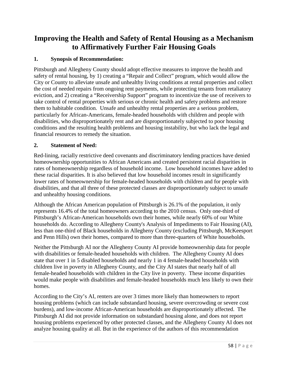# **Improving the Health and Safety of Rental Housing as a Mechanism to Affirmatively Further Fair Housing Goals**

# **1. Synopsis of Recommendation:**

Pittsburgh and Allegheny County should adopt effective measures to improve the health and safety of rental housing, by 1) creating a "Repair and Collect" program, which would allow the City or County to alleviate unsafe and unhealthy living conditions at rental properties and collect the cost of needed repairs from ongoing rent payments, while protecting tenants from retaliatory eviction, and 2) creating a "Receivership Support" program to incentivize the use of receivers to take control of rental properties with serious or chronic health and safety problems and restore them to habitable condition. Unsafe and unhealthy rental properties are a serious problem, particularly for African-Americans, female-headed households with children and people with disabilities, who disproportionately rent and are disproportionately subjected to poor housing conditions and the resulting health problems and housing instability, but who lack the legal and financial resources to remedy the situation.

#### **2. Statement of Need:**

Red-lining, racially restrictive deed covenants and discriminatory lending practices have denied homeownership opportunities to African Americans and created persistent racial disparities in rates of homeownership regardless of household income. Low household incomes have added to these racial disparities. It is also believed that low household incomes result in significantly lower rates of homeownership for female-headed households with children and for people with disabilities, and that all three of these protected classes are disproportionately subject to unsafe and unhealthy housing conditions.

Although the African American population of Pittsburgh is 26.1% of the population, it only represents 16.4% of the total homeowners according to the 2010 census. Only one-third of Pittsburgh's African-American households own their homes, while nearly 60% of our White households do. According to Allegheny County's Analysis of Impediments to Fair Housing (AI), less than one-third of Black households in Allegheny County (excluding Pittsburgh, McKeesport and Penn Hills) own their homes, compared to more than three-quarters of White households.

Neither the Pittsburgh AI nor the Allegheny County AI provide homeownership data for people with disabilities or female-headed households with children. The Allegheny County AI does state that over 1 in 5 disabled households and nearly 1 in 4 female-headed households with children live in poverty in Allegheny County, and the City AI states that nearly half of all female-headed households with children in the City live in poverty. These income disparities would make people with disabilities and female-headed households much less likely to own their homes.

According to the City's AI, renters are over 3 times more likely than homeowners to report housing problems (which can include substandard housing, severe overcrowding or severe cost burdens), and low-income African-American households are disproportionately affected. The Pittsburgh AI did not provide information on substandard housing alone, and does not report housing problems experienced by other protected classes, and the Allegheny County AI does not analyze housing quality at all. But in the experience of the authors of this recommendation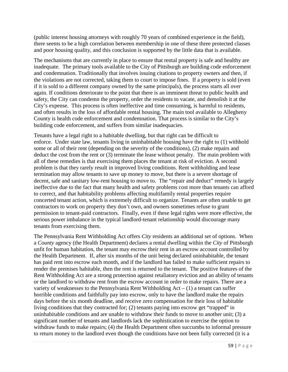(public interest housing attorneys with roughly 70 years of combined experience in the field), there seems to be a high correlation between membership in one of these three protected classes and poor housing quality, and this conclusion is supported by the little data that is available.

The mechanisms that are currently in place to ensure that rental property is safe and healthy are inadequate. The primary tools available to the City of Pittsburgh are building code enforcement and condemnation. Traditionally that involves issuing citations to property owners and then, if the violations are not corrected, taking them to court to impose fines. If a property is sold (even if it is sold to a different company owned by the same principals), the process starts all over again. If conditions deteriorate to the point that there is an imminent threat to public health and safety, the City can condemn the property, order the residents to vacate, and demolish it at the City's expense. This process is often ineffective and time consuming, is harmful to residents, and often results in the loss of affordable rental housing. The main tool available to Allegheny County is health code enforcement and condemnation. That process is similar to the City's building code enforcement, and suffers from similar inadequacies.

Tenants have a legal right to a habitable dwelling, but that right can be difficult to enforce. Under state law, tenants living in uninhabitable housing have the right to (1) withhold some or all of their rent (depending on the severity of the conditions), (2) make repairs and deduct the cost from the rent or (3) terminate the lease without penalty. The main problem with all of these remedies is that exercising them places the tenant at risk of eviction. A second problem is that they rarely result in improved living conditions. Rent withholding and lease termination may allow tenants to save up money to move, but there is a severe shortage of decent, safe and sanitary low-rent housing to move to. The "repair and deduct" remedy is largely ineffective due to the fact that many health and safety problems cost more than tenants can afford to correct, and that habitability problems affecting multifamily rental properties require concerted tenant action, which is extremely difficult to organize. Tenants are often unable to get contractors to work on property they don't own, and owners sometimes refuse to grant permission to tenant-paid contractors. Finally, even if these legal rights were more effective, the serious power imbalance in the typical landlord-tenant relationship would discourage many tenants from exercising them.

The Pennsylvania Rent Withholding Act offers *City* residents an additional set of options. When a *County* agency (the Health Department) declares a rental dwelling within the *City* of Pittsburgh unfit for human habitation, the tenant may escrow their rent in an escrow account controlled by the Health Department. If, after six months of the unit being declared uninhabitable, the tenant has paid rent into escrow each month, and if the landlord has failed to make sufficient repairs to render the premises habitable, then the rent is returned to the tenant. The positive features of the Rent Withholding Act are a strong protection against retaliatory eviction and an ability of tenants or the landlord to withdraw rent from the escrow account in order to make repairs. There are a variety of weaknesses to the Pennsylvania Rent Withholding  $Act - (1)$  a tenant can suffer horrible conditions and faithfully pay into escrow, only to have the landlord make the repairs days before the six month deadline, and receive zero compensation for their loss of habitable living conditions that they contracted for; (2) tenants paying into escrow get "trapped" in uninhabitable conditions and are unable to withdraw their funds to move to another unit; (3) a significant number of tenants and landlords lack the sophistication to exercise the option to withdraw funds to make repairs; (4) the Health Department often succumbs to informal pressure to return money to the landlord even though the conditions have not been fully corrected (it is a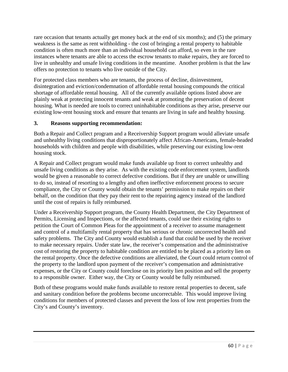rare occasion that tenants actually get money back at the end of six months); and (5) the primary weakness is the same as rent withholding - the cost of bringing a rental property to habitable condition is often much more than an individual household can afford, so even in the rare instances where tenants are able to access the escrow tenants to make repairs, they are forced to live in unhealthy and unsafe living conditions in the meantime. Another problem is that the law offers no protection to tenants who live outside of the City.

For protected class members who are tenants, the process of decline, disinvestment, disintegration and eviction/condemnation of affordable rental housing compounds the critical shortage of affordable rental housing. All of the currently available options listed above are plainly weak at protecting innocent tenants and weak at promoting the preservation of decent housing. What is needed are tools to correct uninhabitable conditions as they arise, preserve our existing low-rent housing stock and ensure that tenants are living in safe and healthy housing.

# **3. Reasons supporting recommendation:**

Both a Repair and Collect program and a Receivership Support program would alleviate unsafe and unhealthy living conditions that disproportionately affect African-Americans, female-headed households with children and people with disabilities, while preserving our existing low-rent housing stock.

A Repair and Collect program would make funds available up front to correct unhealthy and unsafe living conditions as they arise. As with the existing code enforcement system, landlords would be given a reasonable to correct defective conditions. But if they are unable or unwilling to do so, instead of resorting to a lengthy and often ineffective enforcement process to secure compliance, the City or County would obtain the tenants' permission to make repairs on their behalf, on the condition that they pay their rent to the repairing agency instead of the landlord until the cost of repairs is fully reimbursed.

Under a Receivership Support program, the County Health Department, the City Department of Permits, Licensing and Inspections, or the affected tenants, could use their existing rights to petition the Court of Common Pleas for the appointment of a receiver to assume management and control of a multifamily rental property that has serious or chronic uncorrected health and safety problems. The City and County would establish a fund that could be used by the receiver to make necessary repairs. Under state law, the receiver's compensation and the administrative cost of restoring the property to habitable condition are entitled to be placed as a priority lien on the rental property. Once the defective conditions are alleviated, the Court could return control of the property to the landlord upon payment of the receiver's compensation and administrative expenses, or the City or County could foreclose on its priority lien position and sell the property to a responsible owner. Either way, the City or County would be fully reimbursed.

Both of these programs would make funds available to restore rental properties to decent, safe and sanitary condition before the problems become uncorrectable. This would improve living conditions for members of protected classes and prevent the loss of low rent properties from the City's and County's inventory.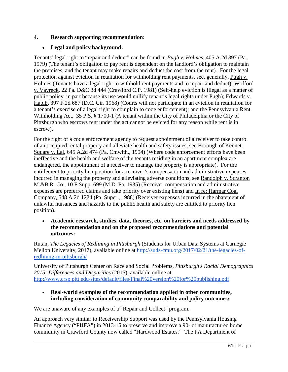# **4. Research supporting recommendation:**

# • **Legal and policy background:**

Tenants' legal right to "repair and deduct" can be found in *Pugh v. Holmes*, 405 A.2d 897 (Pa., 1979) (The tenant's obligation to pay rent is dependent on the landlord's obligation to maintain the premises, and the tenant may make repairs and deduct the cost from the rent). For the legal protection against eviction in retaliation for withholding rent payments, see, generally, Pugh v. Holmes (Tenants have a legal right to withhold rent payments and to repair and deduct); Wofford v. Vavreck, 22 Pa. D&C 3d 444 (Crawford C.P. 1981) (Self-help eviction is illegal as a matter of public policy, in part because its use would nullify tenant's legal rights under Pugh); Edwards v. Habib, 397 F.2d 687 (D.C. Cir. 1968) (Courts will not participate in an eviction in retaliation for a tenant's exercise of a legal right to complain to code enforcement); and the Pennsylvania Rent Withholding Act, 35 P.S. § 1700-1 (A tenant within the City of Philadelphia or the City of Pittsburgh who escrows rent under the act cannot be evicted for any reason while rent is in escrow).

For the right of a code enforcement agency to request appointment of a receiver to take control of an occupied rental property and alleviate health and safety issues, see Borough of Kennett Square v. Lal, 645 A.2d 474 (Pa. Cmwlth., 1994) (Where code enforcement efforts have been ineffective and the health and welfare of the tenants residing in an apartment complex are endangered, the appointment of a receiver to manage the property is appropriate). For the entitlement to priority lien position for a receiver's compensation and administrative expenses incurred in managing the property and alleviating adverse conditions, see Randolph v. Scranton M.&B.R. Co., 10 F.Supp. 699 (M.D. Pa. 1935) (Receiver compensation and administrative expenses are preferred claims and take priority over existing liens) and In re: Harmar Coal Company, 548 A.2d 1224 (Pa. Super., 1988) (Receiver expenses incurred in the abatement of unlawful nuisances and hazards to the public health and safety are entitled to priority lien position).

#### • **Academic research, studies, data, theories, etc. on barriers and needs addressed by the recommendation and on the proposed recommendations and potential outcomes:**

Rutan, *The Legacies of Redlining in Pittsburgh* (Students for Urban Data Systems at Carnegie Mellon University, 2017), available online at [http://suds-cmu.org/2017/02/21/the-legacies-of](http://suds-cmu.org/2017/02/21/the-legacies-of-redlining-in-pittsburgh/)[redlining-in-pittsburgh/](http://suds-cmu.org/2017/02/21/the-legacies-of-redlining-in-pittsburgh/)

University of Pittsburgh Center on Race and Social Problems, *Pittsburgh's Racial Demographics 2015: Differences and Disparities* (2015), available online at <http://www.crsp.pitt.edu/sites/default/files/Final%20version%20for%20publishing.pdf>

#### • **Real-world examples of the recommendation applied in other communities, including consideration of community comparability and policy outcomes:**

We are unaware of any examples of a "Repair and Collect" program.

An approach very similar to Receivership Support was used by the Pennsylvania Housing Finance Agency ("PHFA") in 2013-15 to preserve and improve a 90-lot manufactured home community in Crawford County now called "Hardwood Estates." The PA Department of